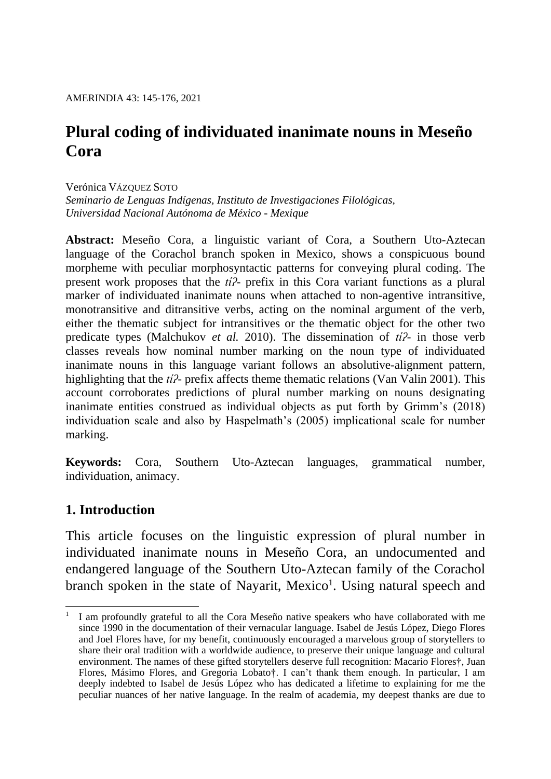# **Plural coding of individuated inanimate nouns in Meseño Cora**

Verónica VÁZQUEZ SOTO

*Seminario de Lenguas Indígenas, Instituto de Investigaciones Filológicas, Universidad Nacional Autónoma de México - Mexique*

**Abstract:** Meseño Cora, a linguistic variant of Cora, a Southern Uto-Aztecan language of the Corachol branch spoken in Mexico, shows a conspicuous bound morpheme with peculiar morphosyntactic patterns for conveying plural coding. The present work proposes that the *tíʔ-* prefix in this Cora variant functions as a plural marker of individuated inanimate nouns when attached to non-agentive intransitive, monotransitive and ditransitive verbs, acting on the nominal argument of the verb, either the thematic subject for intransitives or the thematic object for the other two predicate types (Malchukov *et al.* 2010). The dissemination of *tíʔ-* in those verb classes reveals how nominal number marking on the noun type of individuated inanimate nouns in this language variant follows an absolutive-alignment pattern, highlighting that the *tíʔ-* prefix affects theme thematic relations (Van Valin 2001). This account corroborates predictions of plural number marking on nouns designating inanimate entities construed as individual objects as put forth by Grimm's (2018) individuation scale and also by Haspelmath's (2005) implicational scale for number marking.

**Keywords:** Cora, Southern Uto-Aztecan languages, grammatical number, individuation, animacy.

### **1. Introduction**

This article focuses on the linguistic expression of plural number in individuated inanimate nouns in Meseño Cora, an undocumented and endangered language of the Southern Uto-Aztecan family of the Corachol branch spoken in the state of Nayarit, Mexico<sup>1</sup>. Using natural speech and

<sup>1</sup> 1 I am profoundly grateful to all the Cora Meseño native speakers who have collaborated with me since 1990 in the documentation of their vernacular language. Isabel de Jesús López, Diego Flores and Joel Flores have, for my benefit, continuously encouraged a marvelous group of storytellers to share their oral tradition with a worldwide audience, to preserve their unique language and cultural environment. The names of these gifted storytellers deserve full recognition: Macario Flores†, Juan Flores, Másimo Flores, and Gregoria Lobato†. I can't thank them enough. In particular, I am deeply indebted to Isabel de Jesús López who has dedicated a lifetime to explaining for me the peculiar nuances of her native language. In the realm of academia, my deepest thanks are due to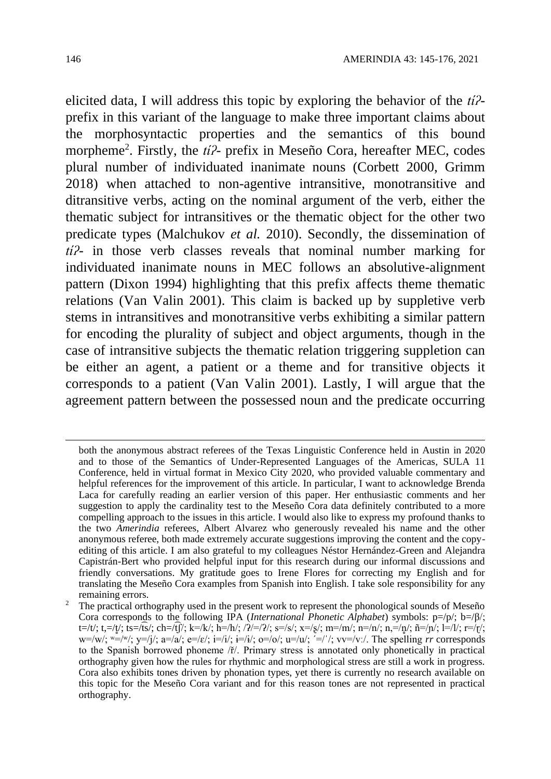elicited data, I will address this topic by exploring the behavior of the *tíʔ*prefix in this variant of the language to make three important claims about the morphosyntactic properties and the semantics of this bound morpheme<sup>2</sup>. Firstly, the *ti*<sup>2</sup>- prefix in Meseño Cora, hereafter MEC, codes plural number of individuated inanimate nouns (Corbett 2000, Grimm 2018) when attached to non-agentive intransitive, monotransitive and ditransitive verbs, acting on the nominal argument of the verb, either the thematic subject for intransitives or the thematic object for the other two predicate types (Malchukov *et al.* 2010). Secondly, the dissemination of *tíʔ-* in those verb classes reveals that nominal number marking for individuated inanimate nouns in MEC follows an absolutive-alignment pattern (Dixon 1994) highlighting that this prefix affects theme thematic relations (Van Valin 2001). This claim is backed up by suppletive verb stems in intransitives and monotransitive verbs exhibiting a similar pattern for encoding the plurality of subject and object arguments, though in the case of intransitive subjects the thematic relation triggering suppletion can be either an agent, a patient or a theme and for transitive objects it corresponds to a patient (Van Valin 2001). Lastly, I will argue that the agreement pattern between the possessed noun and the predicate occurring

<u>.</u>

both the anonymous abstract referees of the Texas Linguistic Conference held in Austin in 2020 and to those of the Semantics of Under-Represented Languages of the Americas, SULA 11 Conference, held in virtual format in Mexico City 2020, who provided valuable commentary and helpful references for the improvement of this article. In particular, I want to acknowledge Brenda Laca for carefully reading an earlier version of this paper. Her enthusiastic comments and her suggestion to apply the cardinality test to the Meseño Cora data definitely contributed to a more compelling approach to the issues in this article. I would also like to express my profound thanks to the two *Amerindia* referees, Albert Alvarez who generously revealed his name and the other anonymous referee, both made extremely accurate suggestions improving the content and the copyediting of this article. I am also grateful to my colleagues Néstor Hernández-Green and Alejandra Capistrán-Bert who provided helpful input for this research during our informal discussions and friendly conversations. My gratitude goes to Irene Flores for correcting my English and for translating the Meseño Cora examples from Spanish into English. I take sole responsibility for any remaining errors.

The practical orthography used in the present work to represent the phonological sounds of Meseño Cora corresponds to the following IPA (*International Phonetic Alphabet*) symbols: p=/p/; b=/β/;  $t=|t'|$ ; t,=/t/; ts=/ts/; ch=/tf/; k=/k/; h=/h/; / $\lambda$ /=/ $\lambda$ /; s=/s/; x=/s/; m=/m/; n=/n/; n,=/n/; n=/n/; l=/l/; r=/r/; w=/w/;  $w=x'$ ;  $y=x'$ ;  $y=x'$ ;  $y=x'$ ;  $y=x'$ ;  $y=x'$ ;  $y=x'$ ;  $y=x'$ ;  $y=x'$ ;  $y=x'$ ;  $y=x'$ ;  $y=x'$ ;  $y=x'$ ;  $y=x'$ ;  $y=x'$ ;  $y=x'$ ;  $y=x'$ ;  $y=x'$ ;  $y=x'$ ;  $y=x'$ ;  $y=x'$ ;  $y=x'$ ;  $y=x'$ ;  $y=x'$ ;  $y=x'$ ;  $y=x'$ ;  $y=x'$ ;  $y=x'$ ;  $y=x'$ ;  $y=x'$ ;  $y=x'$ to the Spanish borrowed phoneme /ř/. Primary stress is annotated only phonetically in practical orthography given how the rules for rhythmic and morphological stress are still a work in progress. Cora also exhibits tones driven by phonation types, yet there is currently no research available on this topic for the Meseño Cora variant and for this reason tones are not represented in practical orthography.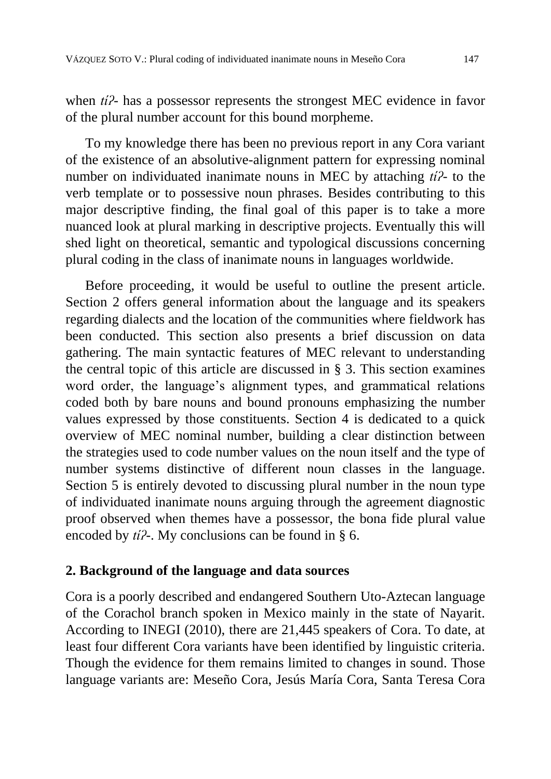when *tíʔ-* has a possessor represents the strongest MEC evidence in favor of the plural number account for this bound morpheme.

To my knowledge there has been no previous report in any Cora variant of the existence of an absolutive-alignment pattern for expressing nominal number on individuated inanimate nouns in MEC by attaching *tíʔ-* to the verb template or to possessive noun phrases. Besides contributing to this major descriptive finding, the final goal of this paper is to take a more nuanced look at plural marking in descriptive projects. Eventually this will shed light on theoretical, semantic and typological discussions concerning plural coding in the class of inanimate nouns in languages worldwide.

Before proceeding, it would be useful to outline the present article. Section 2 offers general information about the language and its speakers regarding dialects and the location of the communities where fieldwork has been conducted. This section also presents a brief discussion on data gathering. The main syntactic features of MEC relevant to understanding the central topic of this article are discussed in § 3. This section examines word order, the language's alignment types, and grammatical relations coded both by bare nouns and bound pronouns emphasizing the number values expressed by those constituents. Section 4 is dedicated to a quick overview of MEC nominal number, building a clear distinction between the strategies used to code number values on the noun itself and the type of number systems distinctive of different noun classes in the language. Section 5 is entirely devoted to discussing plural number in the noun type of individuated inanimate nouns arguing through the agreement diagnostic proof observed when themes have a possessor, the bona fide plural value encoded by *tíʔ-*. My conclusions can be found in § 6.

### **2. Background of the language and data sources**

Cora is a poorly described and endangered Southern Uto-Aztecan language of the Corachol branch spoken in Mexico mainly in the state of Nayarit. According to INEGI (2010), there are 21,445 speakers of Cora. To date, at least four different Cora variants have been identified by linguistic criteria. Though the evidence for them remains limited to changes in sound. Those language variants are: Meseño Cora, Jesús María Cora, Santa Teresa Cora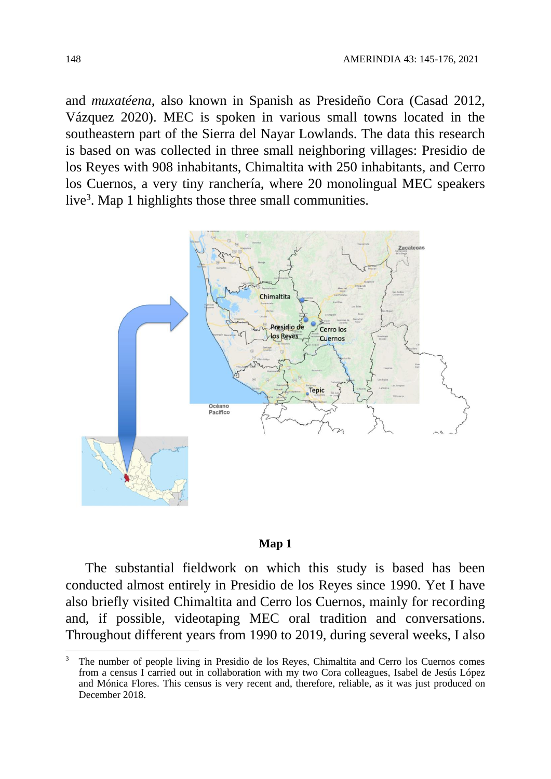and *muxatéena*, also known in Spanish as Presideño Cora (Casad 2012, Vázquez 2020). MEC is spoken in various small towns located in the southeastern part of the Sierra del Nayar Lowlands. The data this research is based on was collected in three small neighboring villages: Presidio de los Reyes with 908 inhabitants, Chimaltita with 250 inhabitants, and Cerro los Cuernos, a very tiny ranchería, where 20 monolingual MEC speakers live<sup>3</sup>. Map 1 highlights those three small communities.



#### **Map 1**

The substantial fieldwork on which this study is based has been conducted almost entirely in Presidio de los Reyes since 1990. Yet I have also briefly visited Chimaltita and Cerro los Cuernos, mainly for recording and, if possible, videotaping MEC oral tradition and conversations. Throughout different years from 1990 to 2019, during several weeks, I also

1

<sup>3</sup> The number of people living in Presidio de los Reyes, Chimaltita and Cerro los Cuernos comes from a census I carried out in collaboration with my two Cora colleagues, Isabel de Jesús López and Mónica Flores. This census is very recent and, therefore, reliable, as it was just produced on December 2018.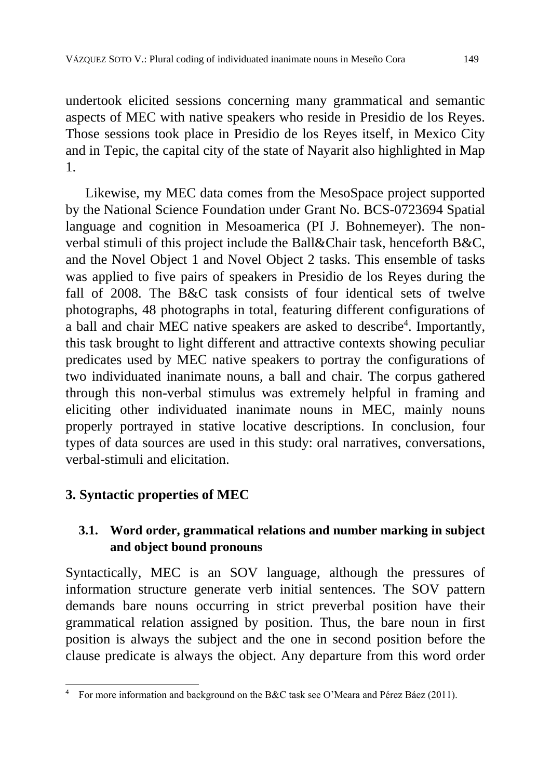undertook elicited sessions concerning many grammatical and semantic aspects of MEC with native speakers who reside in Presidio de los Reyes. Those sessions took place in Presidio de los Reyes itself, in Mexico City and in Tepic, the capital city of the state of Nayarit also highlighted in Map 1.

Likewise, my MEC data comes from the MesoSpace project supported by the National Science Foundation under Grant No. BCS-0723694 Spatial language and cognition in Mesoamerica (PI J. Bohnemeyer). The nonverbal stimuli of this project include the Ball&Chair task, henceforth B&C, and the Novel Object 1 and Novel Object 2 tasks. This ensemble of tasks was applied to five pairs of speakers in Presidio de los Reyes during the fall of 2008. The B&C task consists of four identical sets of twelve photographs, 48 photographs in total, featuring different configurations of a ball and chair MEC native speakers are asked to describe<sup>4</sup>. Importantly, this task brought to light different and attractive contexts showing peculiar predicates used by MEC native speakers to portray the configurations of two individuated inanimate nouns, a ball and chair. The corpus gathered through this non-verbal stimulus was extremely helpful in framing and eliciting other individuated inanimate nouns in MEC, mainly nouns properly portrayed in stative locative descriptions. In conclusion, four types of data sources are used in this study: oral narratives, conversations, verbal-stimuli and elicitation.

# **3. Syntactic properties of MEC**

# **3.1. Word order, grammatical relations and number marking in subject and object bound pronouns**

Syntactically, MEC is an SOV language, although the pressures of information structure generate verb initial sentences. The SOV pattern demands bare nouns occurring in strict preverbal position have their grammatical relation assigned by position. Thus, the bare noun in first position is always the subject and the one in second position before the clause predicate is always the object. Any departure from this word order

<sup>1</sup> <sup>4</sup> For more information and background on the B&C task see O'Meara and Pérez Báez (2011).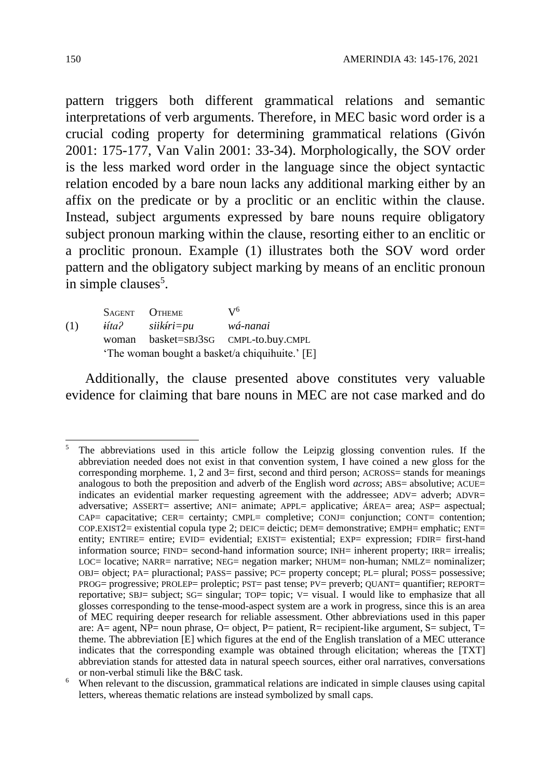pattern triggers both different grammatical relations and semantic interpretations of verb arguments. Therefore, in MEC basic word order is a crucial coding property for determining grammatical relations (Givón 2001: 175-177, Van Valin 2001: 33-34). Morphologically, the SOV order is the less marked word order in the language since the object syntactic relation encoded by a bare noun lacks any additional marking either by an affix on the predicate or by a proclitic or an enclitic within the clause. Instead, subject arguments expressed by bare nouns require obligatory subject pronoun marking within the clause, resorting either to an enclitic or a proclitic pronoun. Example (1) illustrates both the SOV word order pattern and the obligatory subject marking by means of an enclitic pronoun in simple clauses<sup>5</sup>.

SAGENT OTHEME  $V^6$ (1) *iítaʔ siikíri=pu wá-nanai* woman basket=SBJ3SG CMPL-to.buy.CMPL 'The woman bought a basket/a chiquihuite.' [E]

Additionally, the clause presented above constitutes very valuable evidence for claiming that bare nouns in MEC are not case marked and do

<sup>&</sup>lt;u>.</u> <sup>5</sup> The abbreviations used in this article follow the Leipzig glossing convention rules. If the abbreviation needed does not exist in that convention system, I have coined a new gloss for the corresponding morpheme. 1, 2 and  $3=$  first, second and third person; ACROSS= stands for meanings analogous to both the preposition and adverb of the English word *across*; ABS= absolutive; ACUE= indicates an evidential marker requesting agreement with the addressee; ADV= adverb; ADVR= adversative; ASSERT= assertive; ANI= animate; APPL= applicative; ÁREA= area; ASP= aspectual; CAP= capacitative; CER= certainty; CMPL= completive; CONJ= conjunction; CONT= contention; COP.EXIST2= existential copula type 2; DEIC= deictic; DEM= demonstrative; EMPH= emphatic; ENT= entity; ENTIRE= entire; EVID= evidential; EXIST= existential; EXP= expression; FDIR= first-hand information source; FIND= second-hand information source; INH= inherent property; IRR= irrealis; LOC= locative; NARR= narrative; NEG= negation marker; NHUM= non-human; NMLZ= nominalizer; OBJ= object; PA= pluractional; PASS= passive; PC= property concept; PL= plural; POSS= possessive; PROG= progressive; PROLEP= proleptic; PST= past tense; PV= preverb; QUANT= quantifier; REPORT= reportative; SBJ= subject; SG= singular; TOP= topic; V= visual. I would like to emphasize that all glosses corresponding to the tense-mood-aspect system are a work in progress, since this is an area of MEC requiring deeper research for reliable assessment. Other abbreviations used in this paper are: A= agent, NP= noun phrase, O= object, P= patient, R= recipient-like argument, S= subject,  $T=$ theme. The abbreviation [E] which figures at the end of the English translation of a MEC utterance indicates that the corresponding example was obtained through elicitation; whereas the [TXT] abbreviation stands for attested data in natural speech sources, either oral narratives, conversations or non-verbal stimuli like the B&C task.

<sup>6</sup> When relevant to the discussion, grammatical relations are indicated in simple clauses using capital letters, whereas thematic relations are instead symbolized by small caps.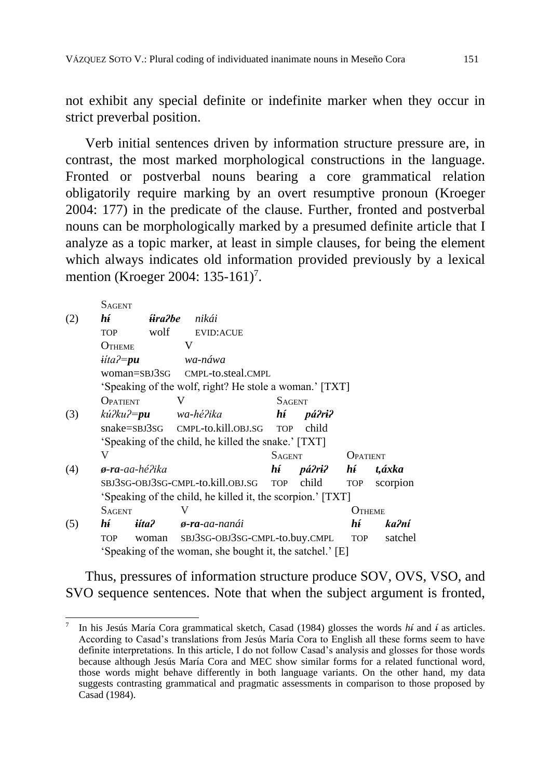not exhibit any special definite or indefinite marker when they occur in strict preverbal position.

Verb initial sentences driven by information structure pressure are, in contrast, the most marked morphological constructions in the language. Fronted or postverbal nouns bearing a core grammatical relation obligatorily require marking by an overt resumptive pronoun (Kroeger 2004: 177) in the predicate of the clause. Further, fronted and postverbal nouns can be morphologically marked by a presumed definite article that I analyze as a topic marker, at least in simple clauses, for being the element which always indicates old information provided previously by a lexical mention (Kroeger 2004: 135-161)<sup>7</sup>.

|     | <b>SAGENT</b>                                          |                                                          |   |                                                            |  |               |               |            |          |  |
|-----|--------------------------------------------------------|----------------------------------------------------------|---|------------------------------------------------------------|--|---------------|---------------|------------|----------|--|
| (2) | hí                                                     | <del>û</del> ra?be                                       |   | nikái                                                      |  |               |               |            |          |  |
|     | <b>TOP</b>                                             | wolf                                                     |   | <b>EVID:ACUE</b>                                           |  |               |               |            |          |  |
|     | OTHEME                                                 |                                                          | V |                                                            |  |               |               |            |          |  |
|     | $iita$ <i>P</i> = $pu$                                 |                                                          |   | wa-náwa                                                    |  |               |               |            |          |  |
|     | $woman = SBJ3SG$                                       |                                                          |   | CMPL-to.steal.CMPL                                         |  |               |               |            |          |  |
|     | 'Speaking of the wolf, right? He stole a woman.' [TXT] |                                                          |   |                                                            |  |               |               |            |          |  |
|     | OPATIENT                                               |                                                          | V |                                                            |  | <b>SAGENT</b> |               |            |          |  |
| (3) | kú?ku?= <b>pu</b>                                      |                                                          |   | wa-hé?ika                                                  |  | hí            | <i>pá?ri?</i> |            |          |  |
|     |                                                        |                                                          |   | snake=SBJ3SG CMPL-to.kill.OBJ.SG                           |  | <b>TOP</b>    | child         |            |          |  |
|     | 'Speaking of the child, he killed the snake.' [TXT]    |                                                          |   |                                                            |  |               |               |            |          |  |
|     | V                                                      |                                                          |   |                                                            |  | <b>SAGENT</b> |               | OPATIENT   |          |  |
| (4) | ø-ra-aa-hé?ika                                         |                                                          |   |                                                            |  | hí            | pá?ri?        | hí         | t,áxka   |  |
|     |                                                        |                                                          |   | SBJ3SG-OBJ3SG-CMPL-to.kill.OBJ.SG                          |  | <b>TOP</b>    | child         | <b>TOP</b> | scorpion |  |
|     |                                                        |                                                          |   | 'Speaking of the child, he killed it, the scorpion.' [TXT] |  |               |               |            |          |  |
|     | <b>SAGENT</b>                                          |                                                          | V |                                                            |  |               |               | OTHEME     |          |  |
| (5) | hí                                                     | <i>iíta?</i>                                             |   | ø-ra-aa-nanái                                              |  |               |               | hí         | ka?ní    |  |
|     | <b>TOP</b>                                             | woman                                                    |   | SBJ3SG-OBJ3SG-CMPL-to.buy.CMPL                             |  |               |               | <b>TOP</b> | satchel  |  |
|     |                                                        | 'Speaking of the woman, she bought it, the satchel.' [E] |   |                                                            |  |               |               |            |          |  |

1

Thus, pressures of information structure produce SOV, OVS, VSO, and SVO sequence sentences. Note that when the subject argument is fronted,

<sup>7</sup> In his Jesús María Cora grammatical sketch, Casad (1984) glosses the words *hí* and *í* as articles. According to Casad's translations from Jesús María Cora to English all these forms seem to have definite interpretations. In this article, I do not follow Casad's analysis and glosses for those words because although Jesús María Cora and MEC show similar forms for a related functional word, those words might behave differently in both language variants. On the other hand, my data suggests contrasting grammatical and pragmatic assessments in comparison to those proposed by Casad (1984).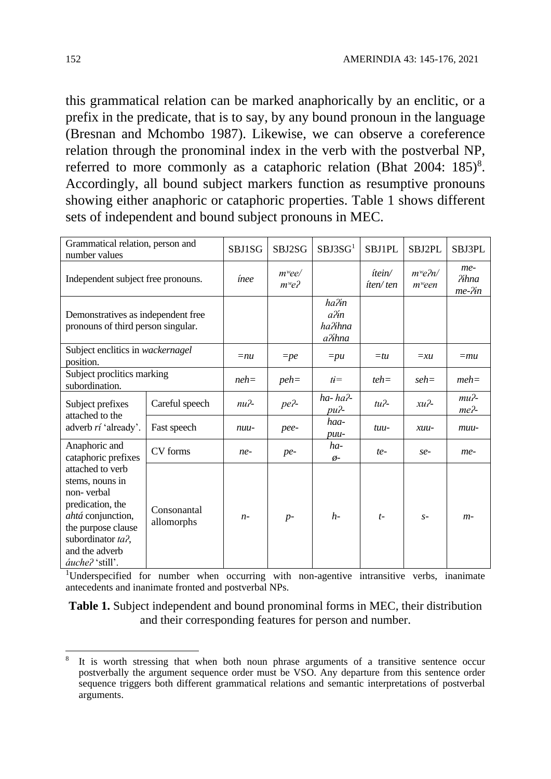this grammatical relation can be marked anaphorically by an enclitic, or a prefix in the predicate, that is to say, by any bound pronoun in the language (Bresnan and Mchombo 1987). Likewise, we can observe a coreference relation through the pronominal index in the verb with the postverbal NP, referred to more commonly as a cataphoric relation (Bhat 2004: 185)<sup>8</sup>. Accordingly, all bound subject markers function as resumptive pronouns showing either anaphoric or cataphoric properties. Table 1 shows different sets of independent and bound subject pronouns in MEC.

| Grammatical relation, person and<br>number values                                                                                                                                 | SBJ1SG                    | SBJ2SG                            | SBJ3SG <sup>1</sup>                | <b>SBJ1PL</b>      | SBJ2PL                            | SBJ3PL                          |                                        |
|-----------------------------------------------------------------------------------------------------------------------------------------------------------------------------------|---------------------------|-----------------------------------|------------------------------------|--------------------|-----------------------------------|---------------------------------|----------------------------------------|
| Independent subject free pronouns.                                                                                                                                                | ínee                      | $m$ <sup>w</sup> ee/<br>$m^w e^2$ |                                    | ítein/<br>íten/ten | $m^w e^2 n$<br>m <sup>w</sup> een | me-<br><i>Pihna</i><br>$me-Yin$ |                                        |
| Demonstratives as independent free<br>pronouns of third person singular.                                                                                                          |                           |                                   | ha?in<br>a?in<br>ha?ihna<br>a?ihna |                    |                                   |                                 |                                        |
| Subject enclitics in wackernagel<br>position.                                                                                                                                     | $=$ nu                    | $=$ pe                            | $=pu$                              | $=$ tu             | $=xu$                             | $=mu$                           |                                        |
| Subject proclitics marking<br>subordination.                                                                                                                                      |                           | $neh =$                           | $peh =$                            | $t\dot{t}$         | $teh =$                           | $seh =$                         | $meh=$                                 |
| Subject prefixes<br>attached to the                                                                                                                                               | Careful speech            | $nu$ <sup>2</sup>                 | pe?-                               | ha-ha?-<br>$pu^2$  | $tu$ <sup>2</sup> -               | $xu$ <sup>2</sup>               | $mu$ <sup>2</sup> -<br>me <sub>2</sub> |
| adverb <i>rí</i> 'already'.                                                                                                                                                       | Fast speech               | nuu-                              | pee-                               | haa-<br>$puu-$     | tuu-                              | $xuu-$                          | $muu-$                                 |
| Anaphoric and<br>cataphoric prefixes                                                                                                                                              | CV forms                  | $ne-$                             | $pe-$                              | ha-<br>$\phi$ -    | $te-$                             | $se-$                           | me-                                    |
| attached to verb<br>stems, nouns in<br>non-verbal<br>predication, the<br>ahtá conjunction,<br>the purpose clause<br>subordinator ta?,<br>and the adverb<br><i>áuche?</i> 'still'. | Consonantal<br>allomorphs | $n-$                              | $p-$                               | $h-$               | $t-$                              | $S-$                            | $m-$                                   |

<sup>1</sup>Underspecified for number when occurring with non-agentive intransitive verbs, inanimate antecedents and inanimate fronted and postverbal NPs.

**Table 1.** Subject independent and bound pronominal forms in MEC, their distribution and their corresponding features for person and number.

1

<sup>8</sup> It is worth stressing that when both noun phrase arguments of a transitive sentence occur postverbally the argument sequence order must be VSO. Any departure from this sentence order sequence triggers both different grammatical relations and semantic interpretations of postverbal arguments.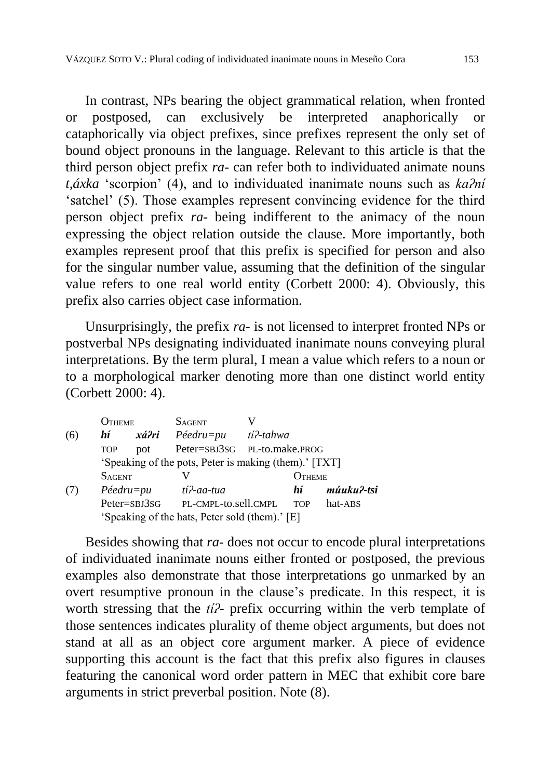In contrast, NPs bearing the object grammatical relation, when fronted or postposed, can exclusively be interpreted anaphorically or cataphorically via object prefixes, since prefixes represent the only set of bound object pronouns in the language. Relevant to this article is that the third person object prefix *ra-* can refer both to individuated animate nouns *t,áxka* 'scorpion' (4), and to individuated inanimate nouns such as *kaʔní* 'satchel' (5). Those examples represent convincing evidence for the third person object prefix *ra-* being indifferent to the animacy of the noun expressing the object relation outside the clause. More importantly, both examples represent proof that this prefix is specified for person and also for the singular number value, assuming that the definition of the singular value refers to one real world entity (Corbett 2000: 4). Obviously, this prefix also carries object case information.

Unsurprisingly, the prefix *ra-* is not licensed to interpret fronted NPs or postverbal NPs designating individuated inanimate nouns conveying plural interpretations. By the term plural, I mean a value which refers to a noun or to a morphological marker denoting more than one distinct world entity (Corbett 2000: 4).

|                   | <b>J</b> THEME      |       | <b>SAGENT</b>                                         |           |            |            |
|-------------------|---------------------|-------|-------------------------------------------------------|-----------|------------|------------|
| (6)               | hí                  | xá?ri | $P\acute{e}edru=pu$                                   | tí?-tahwa |            |            |
| <b>TOP</b><br>pot |                     |       | Peter=SBJ3SG PL-to.make.PROG                          |           |            |            |
|                   |                     |       | 'Speaking of the pots, Peter is making (them).' [TXT] |           |            |            |
|                   | <b>SAGENT</b>       |       |                                                       |           | ( )тнеме   |            |
|                   | $P\acute{e}edru=pu$ |       | tí?-aa-tua                                            |           | hí.        | múuku?-tsi |
|                   | Peter=SBJ3SG        |       | PL-CMPL-to.sell.CMPL                                  |           | <b>TOP</b> | hat-ABS    |
|                   |                     |       | 'Speaking of the hats, Peter sold (them).' [E]        |           |            |            |

Besides showing that *ra-* does not occur to encode plural interpretations of individuated inanimate nouns either fronted or postposed, the previous examples also demonstrate that those interpretations go unmarked by an overt resumptive pronoun in the clause's predicate. In this respect, it is worth stressing that the *tíʔ-* prefix occurring within the verb template of those sentences indicates plurality of theme object arguments, but does not stand at all as an object core argument marker. A piece of evidence supporting this account is the fact that this prefix also figures in clauses featuring the canonical word order pattern in MEC that exhibit core bare arguments in strict preverbal position. Note (8).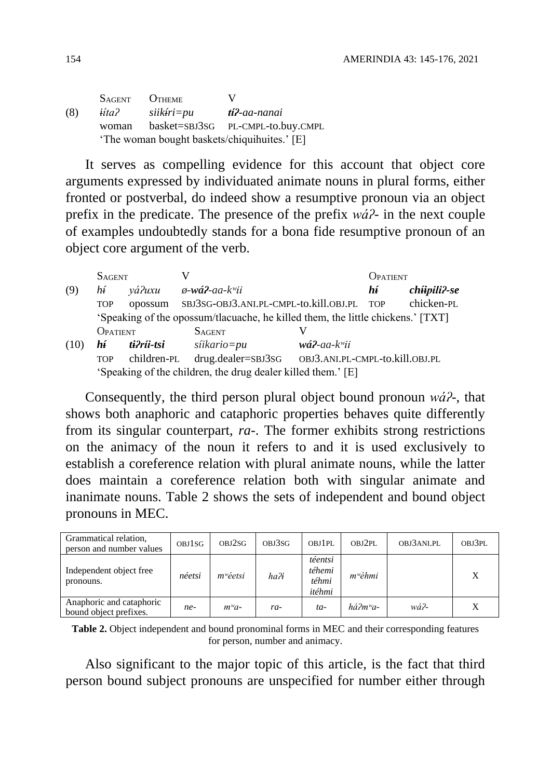SAGENT OTHEME V (8) *iítaʔ siikíri=pu tíʔ-aa-nanai* woman basket=SBJ3SG PL-CMPL-to.buy.CMPL 'The woman bought baskets/chiquihuites.' [E]

It serves as compelling evidence for this account that object core arguments expressed by individuated animate nouns in plural forms, either fronted or postverbal, do indeed show a resumptive pronoun via an object prefix in the predicate. The presence of the prefix *wáʔ-* in the next couple of examples undoubtedly stands for a bona fide resumptive pronoun of an object core argument of the verb.

|                                                              | <b>SAGENT</b> |             |                                                                                 |                                     | DPATIENT)  |                        |  |  |  |
|--------------------------------------------------------------|---------------|-------------|---------------------------------------------------------------------------------|-------------------------------------|------------|------------------------|--|--|--|
| (9)                                                          | hí            | yá?uxu      | $\phi$ -wá?-aa-k <sup>w</sup> ii                                                |                                     | hí         | $ch$ $i$ ipili $l$ -se |  |  |  |
|                                                              | <b>TOP</b>    | opossum     | SBJ3SG-OBJ3.ANI.PL-CMPL-to.kill.OBJ.PL                                          |                                     | <b>TOP</b> | chicken-PL             |  |  |  |
|                                                              |               |             | 'Speaking of the opossum/tlacuache, he killed them, the little chickens.' [TXT] |                                     |            |                        |  |  |  |
|                                                              | OPATIENT      |             | <b>SAGENT</b>                                                                   |                                     |            |                        |  |  |  |
| (10)                                                         | hí            | ti?ríi-tsi  | síikario=pu                                                                     | $w\acute{a}$ ?-aa-k <sup>w</sup> ii |            |                        |  |  |  |
|                                                              | <b>TOP</b>    | children-PL | $drug.dealer = SBJ3SG$                                                          | OBJ3.ANI.PL-CMPL-to.kill.OBJ.PL     |            |                        |  |  |  |
| 'Speaking of the children, the drug dealer killed them.' [E] |               |             |                                                                                 |                                     |            |                        |  |  |  |

Consequently, the third person plural object bound pronoun *wáʔ-*, that shows both anaphoric and cataphoric properties behaves quite differently from its singular counterpart, *ra-*. The former exhibits strong restrictions on the animacy of the noun it refers to and it is used exclusively to establish a coreference relation with plural animate nouns, while the latter does maintain a coreference relation both with singular animate and inanimate nouns. Table 2 shows the sets of independent and bound object pronouns in MEC.

| Grammatical relation,<br>person and number values  | <b>OBJ1SG</b> | OBJ2SG      | OBJ3SG | OBJ1PL                               | OBJ2PL                         | OBJ3ANLPL | OBJ3PL |
|----------------------------------------------------|---------------|-------------|--------|--------------------------------------|--------------------------------|-----------|--------|
| Independent object free<br>pronouns.               | néetsi        | $m^w$ éetsi | ha?i   | téentsi<br>téhemi<br>téhmi<br>itéhmi | $m^w \acute{e} hmi$            |           |        |
| Anaphoric and cataphoric<br>bound object prefixes. | ne-           | $m^{\nu}a-$ | ra-    | $ta-$                                | $h\acute{a}2m$ <sup>w</sup> a- | wá?-      | X      |

**Table 2.** Object independent and bound pronominal forms in MEC and their corresponding features for person, number and animacy.

Also significant to the major topic of this article, is the fact that third person bound subject pronouns are unspecified for number either through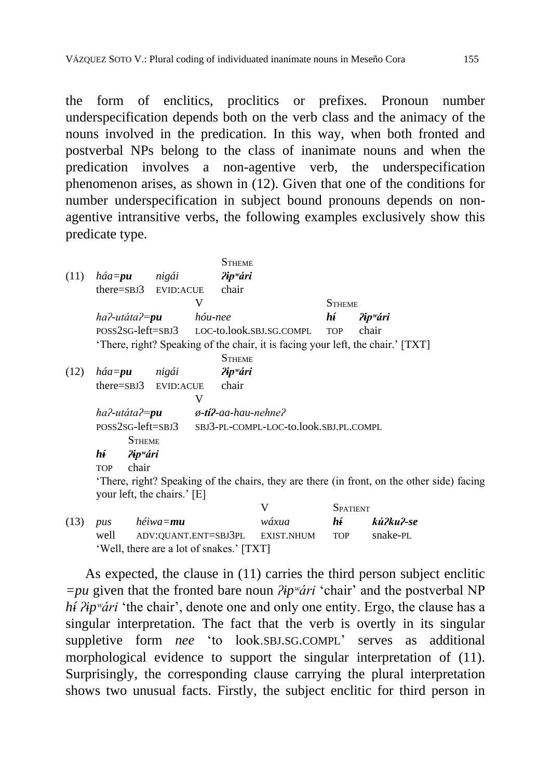the form of enclitics, proclitics or prefixes. Pronoun number underspecification depends both on the verb class and the animacy of the nouns involved in the predication. In this way, when both fronted and postverbal NPs belong to the class of inanimate nouns and when the predication involves a non-agentive verb, the underspecification phenomenon arises, as shown in (12). Given that one of the conditions for number underspecification in subject bound pronouns depends on nonagentive intransitive verbs, the following examples exclusively show this predicate type.

| (11) | $h$ áa= $pu$                | nigái            | <b>STHEME</b><br>$\lambda$ ip <sup>w</sup> ári                                  |                                                          |                 |                                                                                            |  |  |
|------|-----------------------------|------------------|---------------------------------------------------------------------------------|----------------------------------------------------------|-----------------|--------------------------------------------------------------------------------------------|--|--|
|      | $there =$ SBJ $3$           | <b>EVID:ACUE</b> | chair                                                                           |                                                          |                 |                                                                                            |  |  |
|      |                             |                  | V                                                                               |                                                          | <b>STHEME</b>   |                                                                                            |  |  |
|      | ha?-utáta?= <b>pu</b>       |                  | hóu-nee                                                                         | hí                                                       |                 | ?ip <sup>w</sup> ári                                                                       |  |  |
|      |                             |                  | POSS2SG-left=SBJ3 LOC-to.look.SBJ.SG.COMPL                                      |                                                          | <b>TOP</b>      | chair                                                                                      |  |  |
|      |                             |                  | 'There, right? Speaking of the chair, it is facing your left, the chair.' [TXT] |                                                          |                 |                                                                                            |  |  |
|      |                             |                  | <b>STHEME</b>                                                                   |                                                          |                 |                                                                                            |  |  |
| (12) | $h$ áa= $p$ u               | nigái            | $\lambda$ ip <sup>w</sup> ári                                                   |                                                          |                 |                                                                                            |  |  |
|      | $there =$ SBJ $3$           | <b>EVID:ACUE</b> | chair                                                                           |                                                          |                 |                                                                                            |  |  |
|      |                             |                  | V                                                                               |                                                          |                 |                                                                                            |  |  |
|      | ha?-utáta?= <b>pu</b>       |                  | ø- <b>tí?</b> -aa-hau-nehne?                                                    |                                                          |                 |                                                                                            |  |  |
|      |                             |                  |                                                                                 | POSS2SG-left=SBJ3 SBJ3-PL-COMPL-LOC-to.look.SBJ.PL.COMPL |                 |                                                                                            |  |  |
|      | <b>STHEME</b>               |                  |                                                                                 |                                                          |                 |                                                                                            |  |  |
|      | hí<br>?ip <sup>w</sup> ári  |                  |                                                                                 |                                                          |                 |                                                                                            |  |  |
|      | chair<br><b>TOP</b>         |                  |                                                                                 |                                                          |                 |                                                                                            |  |  |
|      | your left, the chairs.' [E] |                  |                                                                                 |                                                          |                 | 'There, right? Speaking of the chairs, they are there (in front, on the other side) facing |  |  |
|      |                             |                  | V                                                                               |                                                          | <b>SPATIENT</b> |                                                                                            |  |  |
| (13) | <b>DUS</b>                  | héiwa= <b>mu</b> |                                                                                 | wáxua                                                    | hí              | kú?ku?-se                                                                                  |  |  |

|            |                                          |       | $\mathsf{u}$ and $\mathsf{u}$ |           |
|------------|------------------------------------------|-------|-------------------------------|-----------|
| $(13)$ pus | héiwa= <b>mu</b>                         | wáxua | hí t                          | kú?ku?-se |
|            | well ADV:QUANT.ENT=SBJ3PL EXIST.NHUM TOP |       |                               | snake-PL  |
|            | 'Well, there are a lot of snakes.' [TXT] |       |                               |           |

As expected, the clause in (11) carries the third person subject enclitic *=pu* given that the fronted bare noun *ʔipʷári* 'chair' and the postverbal NP *hí <i>l*ip<sup>w</sup>ári 'the chair', denote one and only one entity. Ergo, the clause has a singular interpretation. The fact that the verb is overtly in its singular suppletive form *nee* 'to look.SBJ.SG.COMPL' serves as additional morphological evidence to support the singular interpretation of (11). Surprisingly, the corresponding clause carrying the plural interpretation shows two unusual facts. Firstly, the subject enclitic for third person in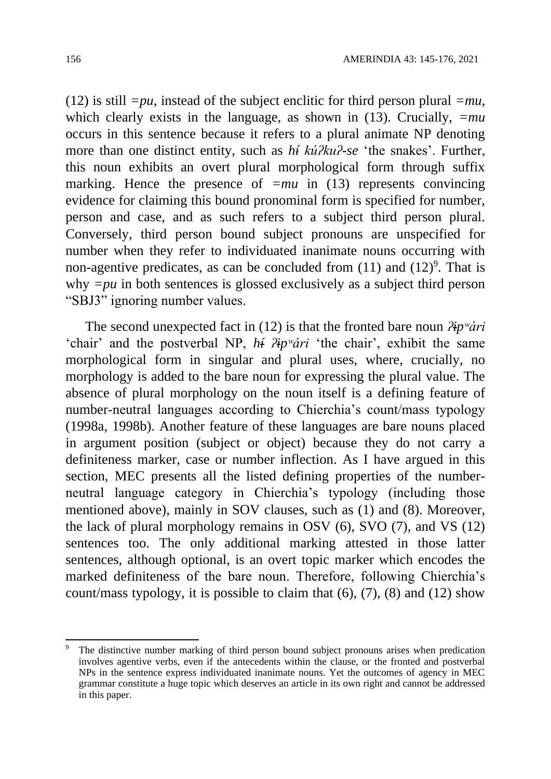(12) is still  $=pu$ , instead of the subject enclitic for third person plural  $=mu$ , which clearly exists in the language, as shown in (13). Crucially,  $=mu$ occurs in this sentence because it refers to a plural animate NP denoting more than one distinct entity, such as *hí kúʔkuʔ-se* 'the snakes'. Further, this noun exhibits an overt plural morphological form through suffix marking. Hence the presence of  $=mu$  in (13) represents convincing evidence for claiming this bound pronominal form is specified for number, person and case, and as such refers to a subject third person plural. Conversely, third person bound subject pronouns are unspecified for number when they refer to individuated inanimate nouns occurring with non-agentive predicates, as can be concluded from  $(11)$  and  $(12)<sup>9</sup>$ . That is why  $=pu$  in both sentences is glossed exclusively as a subject third person "SBJ3" ignoring number values.

The second unexpected fact in (12) is that the fronted bare noun *ʔipʷári* 'chair' and the postverbal NP, *hí ʔipʷári* 'the chair', exhibit the same morphological form in singular and plural uses, where, crucially, no morphology is added to the bare noun for expressing the plural value. The absence of plural morphology on the noun itself is a defining feature of number-neutral languages according to Chierchia's count/mass typology (1998a, 1998b). Another feature of these languages are bare nouns placed in argument position (subject or object) because they do not carry a definiteness marker, case or number inflection. As I have argued in this section, MEC presents all the listed defining properties of the numberneutral language category in Chierchia's typology (including those mentioned above), mainly in SOV clauses, such as (1) and (8). Moreover, the lack of plural morphology remains in OSV (6), SVO (7), and VS (12) sentences too. The only additional marking attested in those latter sentences, although optional, is an overt topic marker which encodes the marked definiteness of the bare noun. Therefore, following Chierchia's count/mass typology, it is possible to claim that (6), (7), (8) and (12) show

<sup>1</sup> The distinctive number marking of third person bound subject pronouns arises when predication involves agentive verbs, even if the antecedents within the clause, or the fronted and postverbal NPs in the sentence express individuated inanimate nouns. Yet the outcomes of agency in MEC grammar constitute a huge topic which deserves an article in its own right and cannot be addressed in this paper.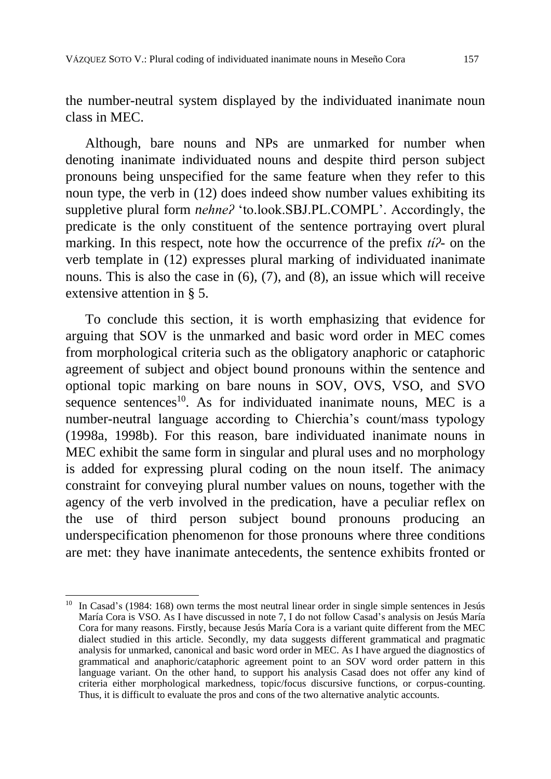the number-neutral system displayed by the individuated inanimate noun class in MEC.

Although, bare nouns and NPs are unmarked for number when denoting inanimate individuated nouns and despite third person subject pronouns being unspecified for the same feature when they refer to this noun type, the verb in (12) does indeed show number values exhibiting its suppletive plural form *nehneʔ* 'to.look.SBJ.PL.COMPL'. Accordingly, the predicate is the only constituent of the sentence portraying overt plural marking. In this respect, note how the occurrence of the prefix *tíʔ-* on the verb template in (12) expresses plural marking of individuated inanimate nouns. This is also the case in (6), (7), and (8), an issue which will receive extensive attention in § 5.

To conclude this section, it is worth emphasizing that evidence for arguing that SOV is the unmarked and basic word order in MEC comes from morphological criteria such as the obligatory anaphoric or cataphoric agreement of subject and object bound pronouns within the sentence and optional topic marking on bare nouns in SOV, OVS, VSO, and SVO sequence sentences<sup>10</sup>. As for individuated inanimate nouns, MEC is a number-neutral language according to Chierchia's count/mass typology (1998a, 1998b). For this reason, bare individuated inanimate nouns in MEC exhibit the same form in singular and plural uses and no morphology is added for expressing plural coding on the noun itself. The animacy constraint for conveying plural number values on nouns, together with the agency of the verb involved in the predication, have a peculiar reflex on the use of third person subject bound pronouns producing an underspecification phenomenon for those pronouns where three conditions are met: they have inanimate antecedents, the sentence exhibits fronted or

1

In Casad's (1984: 168) own terms the most neutral linear order in single simple sentences in Jesús María Cora is VSO. As I have discussed in note 7, I do not follow Casad's analysis on Jesús María Cora for many reasons. Firstly, because Jesús María Cora is a variant quite different from the MEC dialect studied in this article. Secondly, my data suggests different grammatical and pragmatic analysis for unmarked, canonical and basic word order in MEC. As I have argued the diagnostics of grammatical and anaphoric/cataphoric agreement point to an SOV word order pattern in this language variant. On the other hand, to support his analysis Casad does not offer any kind of criteria either morphological markedness, topic/focus discursive functions, or corpus-counting. Thus, it is difficult to evaluate the pros and cons of the two alternative analytic accounts.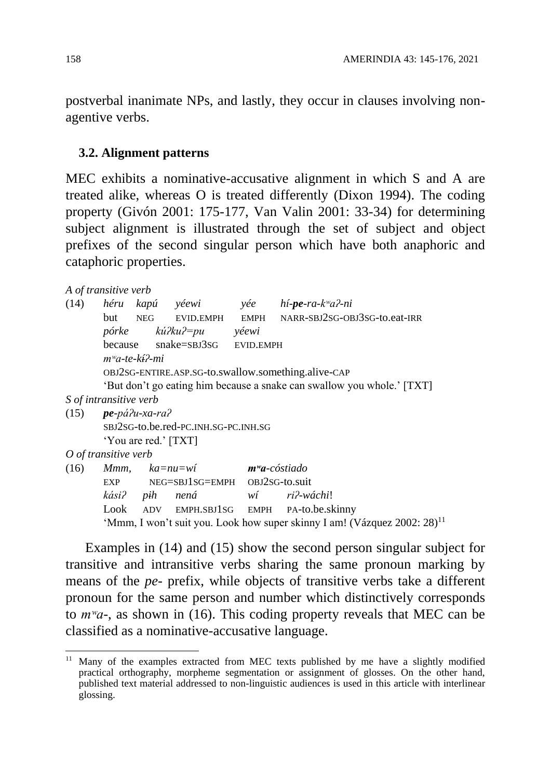postverbal inanimate NPs, and lastly, they occur in clauses involving nonagentive verbs.

#### **3.2. Alignment patterns**

MEC exhibits a nominative-accusative alignment in which S and A are treated alike, whereas O is treated differently (Dixon 1994). The coding property (Givón 2001: 175-177, Van Valin 2001: 33-34) for determining subject alignment is illustrated through the set of subject and object prefixes of the second singular person which have both anaphoric and cataphoric properties.

```
A of transitive verb
```
1

| (14)                                                |  |                          |                                               |  | héru kapú yéewi yée hí- <b>pe</b> -ra-k <sup>w</sup> a?-ni                           |  |  |  |  |  |
|-----------------------------------------------------|--|--------------------------|-----------------------------------------------|--|--------------------------------------------------------------------------------------|--|--|--|--|--|
|                                                     |  |                          |                                               |  | but NEG EVID.EMPH EMPH NARR-SBJ2SG-OBJ3SG-to.eat-IRR                                 |  |  |  |  |  |
|                                                     |  |                          |                                               |  |                                                                                      |  |  |  |  |  |
|                                                     |  |                          | pórke kú?ku?=pu yéewi                         |  |                                                                                      |  |  |  |  |  |
|                                                     |  |                          | because snake=SBJ3SG EVID.EMPH                |  |                                                                                      |  |  |  |  |  |
|                                                     |  | $m^{\omega}$ a-te-kí?-mi |                                               |  |                                                                                      |  |  |  |  |  |
| OBJ2SG-ENTIRE.ASP.SG-to.swallow.something.alive-CAP |  |                          |                                               |  |                                                                                      |  |  |  |  |  |
|                                                     |  |                          |                                               |  | 'But don't go eating him because a snake can swallow you whole.' [TXT]               |  |  |  |  |  |
| <i>S</i> of intransitive verb                       |  |                          |                                               |  |                                                                                      |  |  |  |  |  |
| $(15)$ pe-pá $\lambda$ u-xa-ra $\lambda$            |  |                          |                                               |  |                                                                                      |  |  |  |  |  |
|                                                     |  |                          | SBJ2SG-to.be.red-PC.INH.SG-PC.INH.SG          |  |                                                                                      |  |  |  |  |  |
|                                                     |  | 'You are red.' [TXT]     |                                               |  |                                                                                      |  |  |  |  |  |
| O of transitive verb                                |  |                          |                                               |  |                                                                                      |  |  |  |  |  |
| (16)                                                |  |                          | Mmm, ka=nu=wí <b>m<sup>w</sup>a</b> -cóstiado |  |                                                                                      |  |  |  |  |  |
|                                                     |  |                          | EXP NEG=SBJ1SG=EMPH OBJ2SG-to.suit            |  |                                                                                      |  |  |  |  |  |
|                                                     |  | kási? pih nená           |                                               |  | wí ri?-wáchi!                                                                        |  |  |  |  |  |
|                                                     |  |                          |                                               |  | Look ADV EMPH.SBJ1SG EMPH PA-to.be.skinny                                            |  |  |  |  |  |
|                                                     |  |                          |                                               |  | 'Mmm, I won't suit you. Look how super skinny I am! (Vázquez 2002: 28) <sup>11</sup> |  |  |  |  |  |

Examples in (14) and (15) show the second person singular subject for transitive and intransitive verbs sharing the same pronoun marking by means of the *pe-* prefix, while objects of transitive verbs take a different pronoun for the same person and number which distinctively corresponds to *mʷa-*, as shown in (16). This coding property reveals that MEC can be classified as a nominative-accusative language.

<sup>&</sup>lt;sup>11</sup> Many of the examples extracted from MEC texts published by me have a slightly modified practical orthography, morpheme segmentation or assignment of glosses. On the other hand, published text material addressed to non-linguistic audiences is used in this article with interlinear glossing.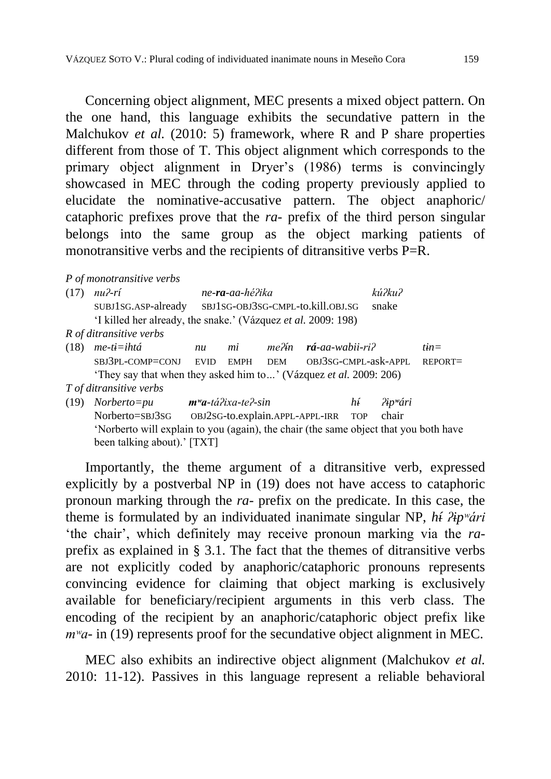Concerning object alignment, MEC presents a mixed object pattern. On the one hand, this language exhibits the secundative pattern in the Malchukov *et al.* (2010: 5) framework, where R and P share properties different from those of T. This object alignment which corresponds to the primary object alignment in Dryer's (1986) terms is convincingly showcased in MEC through the coding property previously applied to elucidate the nominative-accusative pattern. The object anaphoric/ cataphoric prefixes prove that the *ra-* prefix of the third person singular belongs into the same group as the object marking patients of monotransitive verbs and the recipients of ditransitive verbs P=R.

*P of monotransitive verbs*

| (17) | $nu$ <i>P</i> - $ri$                                                                 |                                       | ne-ra-aa-hé?ika |                                   |                                     |    | kú?ku?             |            |  |
|------|--------------------------------------------------------------------------------------|---------------------------------------|-----------------|-----------------------------------|-------------------------------------|----|--------------------|------------|--|
|      | SUBJ1SG.ASP-already                                                                  |                                       |                 | SBJ1SG-OBJ3SG-CMPL-to.kill.OBJ.SG | snake                               |    |                    |            |  |
|      | 'I killed her already, the snake.' (Vázquez <i>et al.</i> 2009: 198)                 |                                       |                 |                                   |                                     |    |                    |            |  |
|      | R of ditransitive verbs                                                              |                                       |                 |                                   |                                     |    |                    |            |  |
| (18) | $me$ -ti=ihtá                                                                        | nu                                    | mi              | me?ín                             | $r\acute{a}$ -aa-wabii-ri?          |    |                    | $tin=$     |  |
|      | SBJ3PL-COMP=CONJ EVID                                                                |                                       | <b>EMPH</b>     | <b>DEM</b>                        | OBJ3SG-CMPL-ask-APPL                |    |                    | $REPORT =$ |  |
|      | 'They say that when they asked him to' (Vázquez <i>et al.</i> 2009: 206)             |                                       |                 |                                   |                                     |    |                    |            |  |
|      | T of ditransitive verbs                                                              |                                       |                 |                                   |                                     |    |                    |            |  |
| (19) | $Norberto = pu$                                                                      | <b>m<sup>w</sup>a</b> -tá?ixa-te?-sin |                 |                                   |                                     | hí | $Pip^{\omega}$ ári |            |  |
|      | Norberto=SBJ3SG                                                                      |                                       |                 |                                   | OBJ2SG-to.explain.APPL-APPL-IRR TOP |    | chair              |            |  |
|      | 'Norberto will explain to you (again), the chair (the same object that you both have |                                       |                 |                                   |                                     |    |                    |            |  |
|      | been talking about).' [TXT]                                                          |                                       |                 |                                   |                                     |    |                    |            |  |

Importantly, the theme argument of a ditransitive verb, expressed explicitly by a postverbal NP in (19) does not have access to cataphoric pronoun marking through the *ra-* prefix on the predicate. In this case, the theme is formulated by an individuated inanimate singular NP, *hí ʔipʷári* 'the chair', which definitely may receive pronoun marking via the *ra*prefix as explained in § 3.1. The fact that the themes of ditransitive verbs are not explicitly coded by anaphoric/cataphoric pronouns represents convincing evidence for claiming that object marking is exclusively available for beneficiary/recipient arguments in this verb class. The encoding of the recipient by an anaphoric/cataphoric object prefix like *m<sup>w</sup>a*- in (19) represents proof for the secundative object alignment in MEC.

MEC also exhibits an indirective object alignment (Malchukov *et al.* 2010: 11-12). Passives in this language represent a reliable behavioral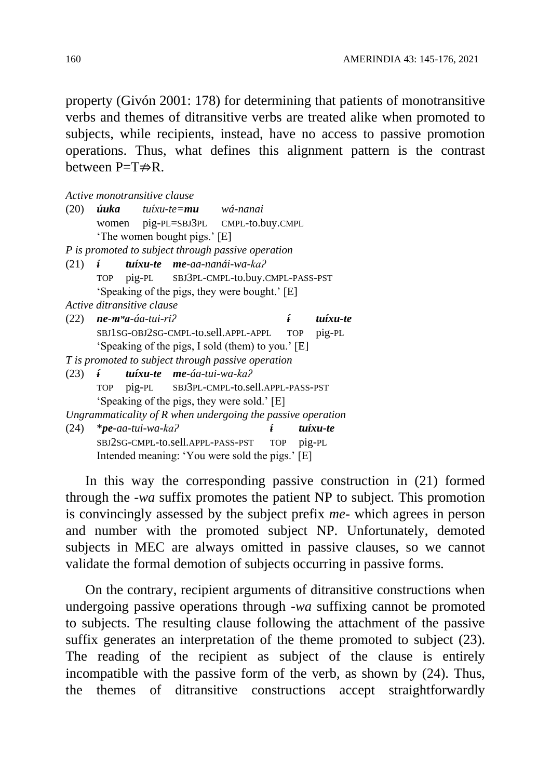property (Givón 2001: 178) for determining that patients of monotransitive verbs and themes of ditransitive verbs are treated alike when promoted to subjects, while recipients, instead, have no access to passive promotion operations. Thus, what defines this alignment pattern is the contrast between  $P=T\neq R$ .

|  | Active monotransitive clause          |                                                   |                                                               |                   |                   |
|--|---------------------------------------|---------------------------------------------------|---------------------------------------------------------------|-------------------|-------------------|
|  |                                       |                                                   | (20) <b>úuka</b> tuíxu-te=mu wá-nanai                         |                   |                   |
|  |                                       |                                                   | women pig-PL=SBJ3PL CMPL-to.buy.CMPL                          |                   |                   |
|  |                                       | 'The women bought pigs.' [E]                      |                                                               |                   |                   |
|  |                                       |                                                   | P is promoted to subject through passive operation            |                   |                   |
|  |                                       |                                                   | $(21)$ <b><i>i tuíxu-te me-aa-nanái-wa-ka?</i></b>            |                   |                   |
|  |                                       |                                                   | TOP pig-PL SBJ3PL-CMPL-to.buy.CMPL-PASS-PST                   |                   |                   |
|  |                                       |                                                   | 'Speaking of the pigs, they were bought.' [E]                 |                   |                   |
|  | Active ditransitive clause            |                                                   |                                                               |                   |                   |
|  | $(22)$ ne-m <sup>w</sup> a-áa-tui-ri? |                                                   |                                                               |                   | <i>i</i> tuíxu-te |
|  |                                       |                                                   | SBJ1SG-OBJ2SG-CMPL-to.sell.APPL-APPL TOP pig-PL               |                   |                   |
|  |                                       |                                                   | 'Speaking of the pigs, I sold (them) to you.' [E]             |                   |                   |
|  |                                       |                                                   | T is promoted to subject through passive operation            |                   |                   |
|  |                                       | $(23)$ <b><i>i</i> tuíxu-te me-</b> áa-tui-wa-ka? |                                                               |                   |                   |
|  |                                       |                                                   | TOP pig-PL SBJ3PL-CMPL-to.sell.APPL-PASS-PST                  |                   |                   |
|  |                                       |                                                   | 'Speaking of the pigs, they were sold.' [E]                   |                   |                   |
|  |                                       |                                                   | Ungrammaticality of $R$ when undergoing the passive operation |                   |                   |
|  | $(24)$ *pe-aa-tui-wa-ka?              |                                                   |                                                               | <i>i</i> tuíxu-te |                   |
|  |                                       |                                                   | SBJ2SG-CMPL-to.sell.APPL-PASS-PST TOP pig-PL                  |                   |                   |
|  |                                       |                                                   | Intended meaning: 'You were sold the pigs.' [E]               |                   |                   |
|  |                                       |                                                   |                                                               |                   |                   |

In this way the corresponding passive construction in (21) formed through the *-wa* suffix promotes the patient NP to subject. This promotion is convincingly assessed by the subject prefix *me-* which agrees in person and number with the promoted subject NP. Unfortunately, demoted subjects in MEC are always omitted in passive clauses, so we cannot validate the formal demotion of subjects occurring in passive forms.

On the contrary, recipient arguments of ditransitive constructions when undergoing passive operations through *-wa* suffixing cannot be promoted to subjects. The resulting clause following the attachment of the passive suffix generates an interpretation of the theme promoted to subject (23). The reading of the recipient as subject of the clause is entirely incompatible with the passive form of the verb, as shown by (24). Thus, the themes of ditransitive constructions accept straightforwardly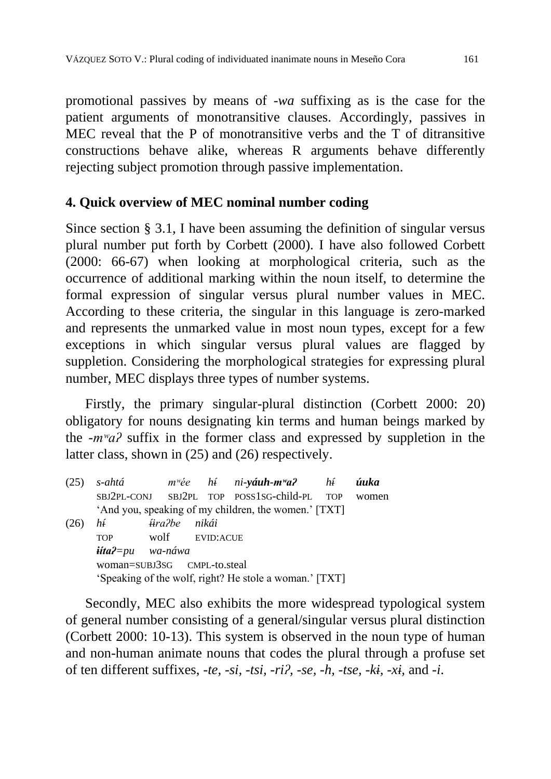promotional passives by means of *-wa* suffixing as is the case for the patient arguments of monotransitive clauses. Accordingly, passives in MEC reveal that the P of monotransitive verbs and the T of ditransitive constructions behave alike, whereas R arguments behave differently rejecting subject promotion through passive implementation.

## **4. Quick overview of MEC nominal number coding**

Since section § 3.1, I have been assuming the definition of singular versus plural number put forth by Corbett (2000). I have also followed Corbett (2000: 66-67) when looking at morphological criteria, such as the occurrence of additional marking within the noun itself, to determine the formal expression of singular versus plural number values in MEC. According to these criteria, the singular in this language is zero-marked and represents the unmarked value in most noun types, except for a few exceptions in which singular versus plural values are flagged by suppletion. Considering the morphological strategies for expressing plural number, MEC displays three types of number systems.

Firstly, the primary singular-plural distinction (Corbett 2000: 20) obligatory for nouns designating kin terms and human beings marked by the *-mʷaʔ* suffix in the former class and expressed by suppletion in the latter class, shown in (25) and (26) respectively.

(25) *s-ahtá mʷée hí ni-yáuh-mʷaʔ hí úuka* SBJ2PL-CONJ SBJ2PL TOP POSS1SG-child-PL TOP women 'And you, speaking of my children, the women.' [TXT] (26) *hí íiraʔbe nikái* TOP wolf EVID:ACUE *iítaʔ=pu wa-náwa* woman=SUBJ3SG CMPL-to.steal 'Speaking of the wolf, right? He stole a woman.' [TXT]

Secondly, MEC also exhibits the more widespread typological system of general number consisting of a general/singular versus plural distinction (Corbett 2000: 10-13). This system is observed in the noun type of human and non-human animate nouns that codes the plural through a profuse set of ten different suffixes, *-te, -si, -tsi, -riʔ, -se, -h, -tse, -ki, -xi,* and *-i*.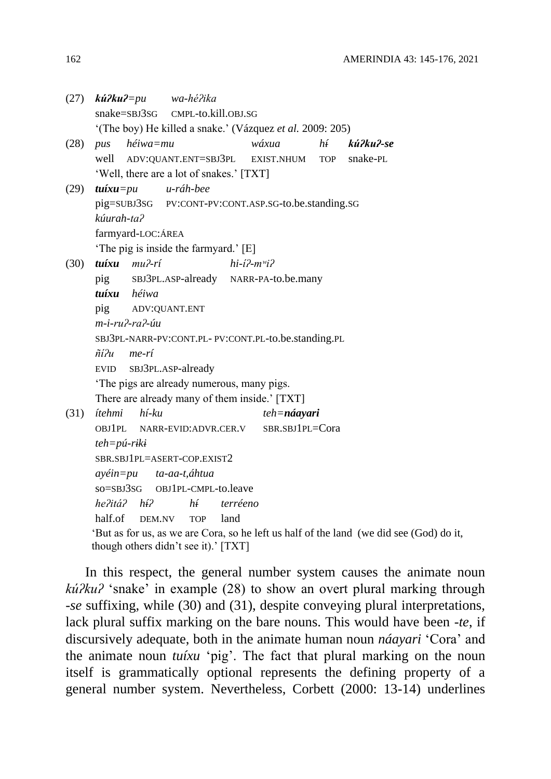| (27) | $\boldsymbol{k} \boldsymbol{u}$ ? $\boldsymbol{k} \boldsymbol{u}$ ? $=$ pu | wa-hé?ika            |          |                   |    |                                                                                         |  |  |  |  |
|------|----------------------------------------------------------------------------|----------------------|----------|-------------------|----|-----------------------------------------------------------------------------------------|--|--|--|--|
|      | snake=SBJ3SG                                                               | CMPL-to.kill.OBJ.SG  |          |                   |    |                                                                                         |  |  |  |  |
|      | '(The boy) He killed a snake.' (Vázquez et al. 2009: 205)                  |                      |          |                   |    |                                                                                         |  |  |  |  |
| (28) | héiwa=mu<br>pus                                                            |                      |          | wáxua             | hí | kú?ku?-se                                                                               |  |  |  |  |
|      | well ADV:QUANT.ENT=SBJ3PL                                                  |                      |          | <b>EXIST.NHUM</b> |    | TOP snake-PL                                                                            |  |  |  |  |
|      | 'Well, there are a lot of snakes.' [TXT]                                   |                      |          |                   |    |                                                                                         |  |  |  |  |
| (29) | $\boldsymbol{t}$ uíxu=pu                                                   | u-ráh-bee            |          |                   |    |                                                                                         |  |  |  |  |
|      | pig=SUBJ3SG PV:CONT-PV:CONT.ASP.SG-to.be.standing.SG                       |                      |          |                   |    |                                                                                         |  |  |  |  |
|      | kúurah-ta?                                                                 |                      |          |                   |    |                                                                                         |  |  |  |  |
|      | farmyard-LOC:ÁREA                                                          |                      |          |                   |    |                                                                                         |  |  |  |  |
|      | 'The pig is inside the farmyard.' [E]                                      |                      |          |                   |    |                                                                                         |  |  |  |  |
| (30) | tuíxu mu?-rí<br>$hi-i^2-m'ii^2$                                            |                      |          |                   |    |                                                                                         |  |  |  |  |
|      | SBJ3PL.ASP-already NARR-PA-to.be.many<br>pig                               |                      |          |                   |    |                                                                                         |  |  |  |  |
|      | tuíxu héiwa                                                                |                      |          |                   |    |                                                                                         |  |  |  |  |
|      | pig<br>ADV:QUANT.ENT                                                       |                      |          |                   |    |                                                                                         |  |  |  |  |
|      | $m$ -i-ru $2$ -ra $2$ -úu                                                  |                      |          |                   |    |                                                                                         |  |  |  |  |
|      | SBJ3PL-NARR-PV:CONT.PL- PV:CONT.PL-to.be.standing.PL                       |                      |          |                   |    |                                                                                         |  |  |  |  |
|      | ñí?u<br>me-rí                                                              |                      |          |                   |    |                                                                                         |  |  |  |  |
|      | EVID SBJ3PL.ASP-already                                                    |                      |          |                   |    |                                                                                         |  |  |  |  |
|      | The pigs are already numerous, many pigs.                                  |                      |          |                   |    |                                                                                         |  |  |  |  |
|      | There are already many of them inside.' [TXT]                              |                      |          |                   |    |                                                                                         |  |  |  |  |
| (31) | ítehmi<br>$h$ í- $ku$                                                      |                      |          | $teh = n$ áayari  |    |                                                                                         |  |  |  |  |
|      | <b>OBJ1PL</b>                                                              | NARR-EVID:ADVR.CER.V |          | SBR.SBJ1PL=Cora   |    |                                                                                         |  |  |  |  |
|      | $teh = p$ ú-riki                                                           |                      |          |                   |    |                                                                                         |  |  |  |  |
|      | SBR.SBJ1PL=ASERT-COP.EXIST2                                                |                      |          |                   |    |                                                                                         |  |  |  |  |
|      | ayéin=pu ta-aa-t,áhtua                                                     |                      |          |                   |    |                                                                                         |  |  |  |  |
|      | so=SBJ3SG OBJ1PL-CMPL-to.leave                                             |                      |          |                   |    |                                                                                         |  |  |  |  |
|      | he?itá? hí?                                                                | $h\hat{i}$           | terréeno |                   |    |                                                                                         |  |  |  |  |
|      | half.of<br>DEM.NV                                                          | <b>TOP</b>           | land     |                   |    |                                                                                         |  |  |  |  |
|      |                                                                            |                      |          |                   |    | 'But as for us, as we are Cora, so he left us half of the land (we did see (God) do it, |  |  |  |  |
|      | though others didn't see it).' [TXT]                                       |                      |          |                   |    |                                                                                         |  |  |  |  |

In this respect, the general number system causes the animate noun *kúʔkuʔ* 'snake' in example (28) to show an overt plural marking through -*se* suffixing, while (30) and (31), despite conveying plural interpretations, lack plural suffix marking on the bare nouns. This would have been *-te*, if discursively adequate, both in the animate human noun *náayari* 'Cora' and the animate noun *tuíxu* 'pig'. The fact that plural marking on the noun itself is grammatically optional represents the defining property of a general number system. Nevertheless, Corbett (2000: 13-14) underlines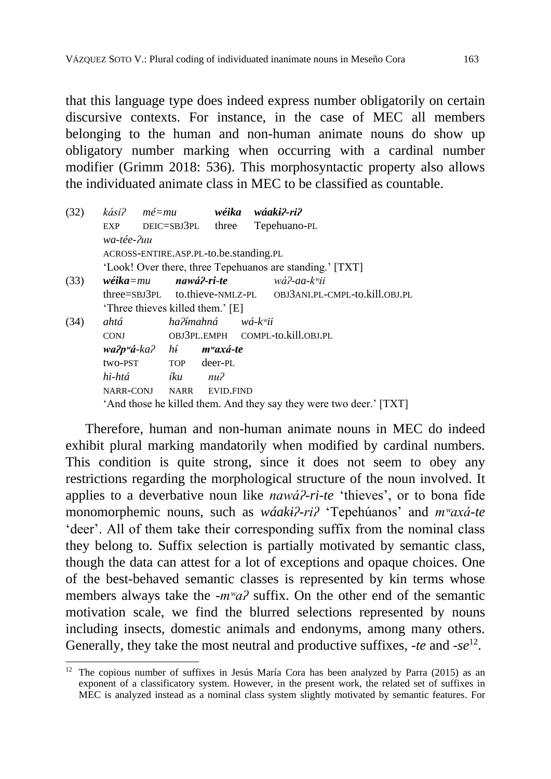that this language type does indeed express number obligatorily on certain discursive contexts. For instance, in the case of MEC all members belonging to the human and non-human animate nouns do show up obligatory number marking when occurring with a cardinal number modifier (Grimm 2018: 536). This morphosyntactic property also allows the individuated animate class in MEC to be classified as countable.

| (32) | kási?                                              | mé=mu |                | wéika                          | wáaki?-ri?                                                         |
|------|----------------------------------------------------|-------|----------------|--------------------------------|--------------------------------------------------------------------|
|      | EXP                                                |       | DEIC=SBJ3PL    | three                          | Tepehuano-PL                                                       |
|      | wa-tée-?uu                                         |       |                |                                |                                                                    |
|      | ACROSS-ENTIRE.ASP.PL-to.be.standing.PL             |       |                |                                |                                                                    |
|      |                                                    |       |                |                                | 'Look! Over there, three Tepehuanos are standing.' [TXT]           |
| (33) | $w \acute{e}$ ika $=$ mu                           |       |                |                                | $\boldsymbol{n}$ awá?-ri-te wá?-aa-k $\ddot{m}$ i                  |
|      |                                                    |       |                |                                | three=SBJ3PL to.thieve-NMLZ-PL OBJ3ANI.PL-CMPL-to.kill.OBJ.PL      |
|      | 'Three thieves killed them.' [E]                   |       |                |                                |                                                                    |
| (34) | ahtá                                               |       |                | ha?ímahná wá-k <sup>w</sup> ii |                                                                    |
|      | <b>CONJ</b>                                        |       |                |                                | OBJ3PL.EMPH COMPL-to.kill.OBJ.PL                                   |
|      | $wa2p$ <sup>w</sup> á-ka? hí m <sup>w</sup> axá-te |       |                |                                |                                                                    |
|      | two-PST TOP deer-PL                                |       |                |                                |                                                                    |
|      | hi-htá                                             |       | <i>iku</i> nu? |                                |                                                                    |
|      | NARR-CONJ NARR EVID.FIND                           |       |                |                                |                                                                    |
|      |                                                    |       |                |                                | 'And those he killed them. And they say they were two deer.' [TXT] |

Therefore, human and non-human animate nouns in MEC do indeed exhibit plural marking mandatorily when modified by cardinal numbers. This condition is quite strong, since it does not seem to obey any restrictions regarding the morphological structure of the noun involved. It applies to a deverbative noun like *nawáʔ-ri-te* 'thieves', or to bona fide monomorphemic nouns, such as *wáakiʔ-riʔ* 'Tepehúanos' and *mʷaxá-te* 'deer'. All of them take their corresponding suffix from the nominal class they belong to. Suffix selection is partially motivated by semantic class, though the data can attest for a lot of exceptions and opaque choices. One of the best-behaved semantic classes is represented by kin terms whose members always take the *-m<sup>w</sup>a*? suffix. On the other end of the semantic motivation scale, we find the blurred selections represented by nouns including insects, domestic animals and endonyms, among many others. Generally, they take the most neutral and productive suffixes, *-te* and *-se*<sup>12</sup> .

1

 $12$  The copious number of suffixes in Jesús María Cora has been analyzed by Parra (2015) as an exponent of a classificatory system. However, in the present work, the related set of suffixes in MEC is analyzed instead as a nominal class system slightly motivated by semantic features. For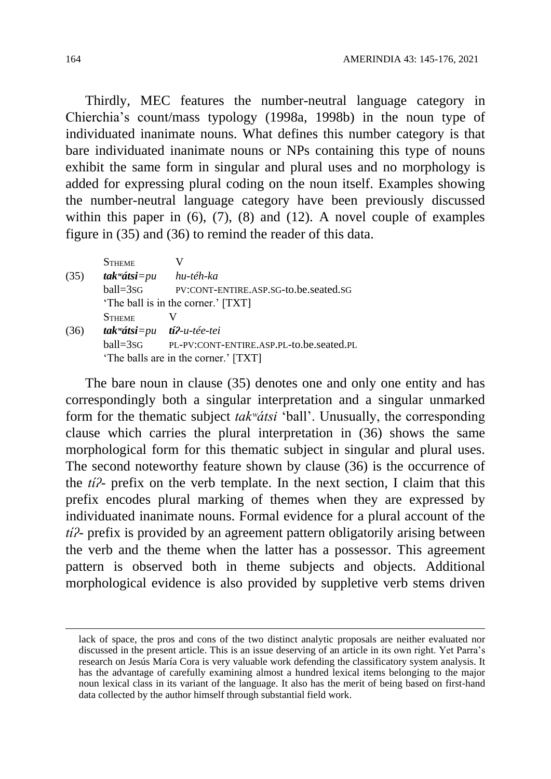Thirdly, MEC features the number-neutral language category in Chierchia's count/mass typology (1998a, 1998b) in the noun type of individuated inanimate nouns. What defines this number category is that bare individuated inanimate nouns or NPs containing this type of nouns exhibit the same form in singular and plural uses and no morphology is added for expressing plural coding on the noun itself. Examples showing the number-neutral language category have been previously discussed within this paper in  $(6)$ ,  $(7)$ ,  $(8)$  and  $(12)$ . A novel couple of examples figure in (35) and (36) to remind the reader of this data.

|      | <b>STHEME</b>                                     |                                          |  |  |
|------|---------------------------------------------------|------------------------------------------|--|--|
| (35) | $\mathit{tak}$ <sup><i>wátsi</i>=pu</sup>         | hu-téh-ka                                |  |  |
|      | $ball = 3SG$                                      | PV:CONT-ENTIRE.ASP.SG-to.be.seated.SG    |  |  |
|      | 'The ball is in the corner.' [TXT]                |                                          |  |  |
|      | <b>STHEME</b>                                     |                                          |  |  |
| (36) | $\mathit{tak}$ <sup>w</sup> átsi=pu tí?-u-tée-tei |                                          |  |  |
|      | ball=3sG                                          | PL-PV:CONT-ENTIRE.ASP.PL-to.be.seated.PL |  |  |
|      | 'The balls are in the corner.' [TXT]              |                                          |  |  |

The bare noun in clause (35) denotes one and only one entity and has correspondingly both a singular interpretation and a singular unmarked form for the thematic subject *takʷátsi* 'ball'. Unusually, the corresponding clause which carries the plural interpretation in (36) shows the same morphological form for this thematic subject in singular and plural uses. The second noteworthy feature shown by clause (36) is the occurrence of the *tíʔ-* prefix on the verb template. In the next section, I claim that this prefix encodes plural marking of themes when they are expressed by individuated inanimate nouns. Formal evidence for a plural account of the *tíʔ-* prefix is provided by an agreement pattern obligatorily arising between the verb and the theme when the latter has a possessor. This agreement pattern is observed both in theme subjects and objects. Additional morphological evidence is also provided by suppletive verb stems driven

1

lack of space, the pros and cons of the two distinct analytic proposals are neither evaluated nor discussed in the present article. This is an issue deserving of an article in its own right. Yet Parra's research on Jesús María Cora is very valuable work defending the classificatory system analysis. It has the advantage of carefully examining almost a hundred lexical items belonging to the major noun lexical class in its variant of the language. It also has the merit of being based on first-hand data collected by the author himself through substantial field work.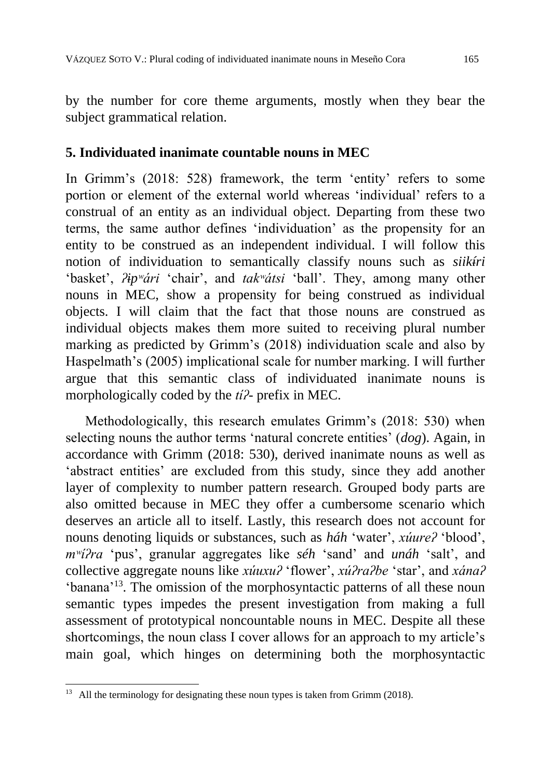by the number for core theme arguments, mostly when they bear the subject grammatical relation.

### **5. Individuated inanimate countable nouns in MEC**

In Grimm's (2018: 528) framework, the term 'entity' refers to some portion or element of the external world whereas 'individual' refers to a construal of an entity as an individual object. Departing from these two terms, the same author defines 'individuation' as the propensity for an entity to be construed as an independent individual. I will follow this notion of individuation to semantically classify nouns such as *siikíri*  'basket', *ʔipʷári* 'chair', and *takʷátsi* 'ball'. They, among many other nouns in MEC, show a propensity for being construed as individual objects. I will claim that the fact that those nouns are construed as individual objects makes them more suited to receiving plural number marking as predicted by Grimm's (2018) individuation scale and also by Haspelmath's (2005) implicational scale for number marking. I will further argue that this semantic class of individuated inanimate nouns is morphologically coded by the *tíʔ-* prefix in MEC.

Methodologically, this research emulates Grimm's (2018: 530) when selecting nouns the author terms 'natural concrete entities' (*dog*). Again, in accordance with Grimm (2018: 530), derived inanimate nouns as well as 'abstract entities' are excluded from this study, since they add another layer of complexity to number pattern research. Grouped body parts are also omitted because in MEC they offer a cumbersome scenario which deserves an article all to itself. Lastly, this research does not account for nouns denoting liquids or substances, such as *háh* 'water', *xúureʔ* 'blood', *mʷíʔra* 'pus', granular aggregates like *séh* 'sand' and *unáh* 'salt', and collective aggregate nouns like *xúuxuʔ* 'flower', *xúʔraʔbe* 'star', and *xánaʔ* 'banana'<sup>13</sup>. The omission of the morphosyntactic patterns of all these noun semantic types impedes the present investigation from making a full assessment of prototypical noncountable nouns in MEC. Despite all these shortcomings, the noun class I cover allows for an approach to my article's main goal, which hinges on determining both the morphosyntactic

<sup>1</sup> All the terminology for designating these noun types is taken from Grimm (2018).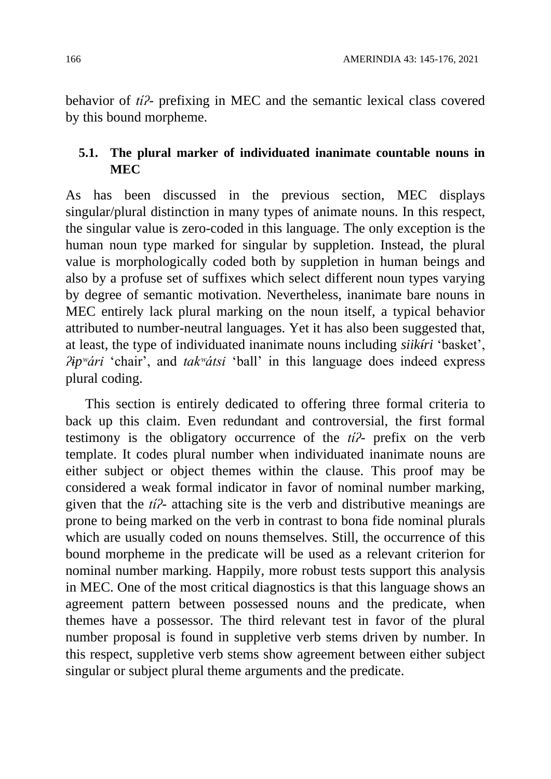behavior of *tíʔ-* prefixing in MEC and the semantic lexical class covered by this bound morpheme.

### **5.1. The plural marker of individuated inanimate countable nouns in MEC**

As has been discussed in the previous section, MEC displays singular/plural distinction in many types of animate nouns. In this respect, the singular value is zero-coded in this language. The only exception is the human noun type marked for singular by suppletion. Instead, the plural value is morphologically coded both by suppletion in human beings and also by a profuse set of suffixes which select different noun types varying by degree of semantic motivation. Nevertheless, inanimate bare nouns in MEC entirely lack plural marking on the noun itself, a typical behavior attributed to number-neutral languages. Yet it has also been suggested that, at least, the type of individuated inanimate nouns including *siikíri* 'basket', *ʔipʷári* 'chair', and *takʷátsi* 'ball' in this language does indeed express plural coding.

This section is entirely dedicated to offering three formal criteria to back up this claim. Even redundant and controversial, the first formal testimony is the obligatory occurrence of the *tíʔ-* prefix on the verb template. It codes plural number when individuated inanimate nouns are either subject or object themes within the clause. This proof may be considered a weak formal indicator in favor of nominal number marking, given that the *tíʔ-* attaching site is the verb and distributive meanings are prone to being marked on the verb in contrast to bona fide nominal plurals which are usually coded on nouns themselves. Still, the occurrence of this bound morpheme in the predicate will be used as a relevant criterion for nominal number marking. Happily, more robust tests support this analysis in MEC. One of the most critical diagnostics is that this language shows an agreement pattern between possessed nouns and the predicate, when themes have a possessor. The third relevant test in favor of the plural number proposal is found in suppletive verb stems driven by number. In this respect, suppletive verb stems show agreement between either subject singular or subject plural theme arguments and the predicate.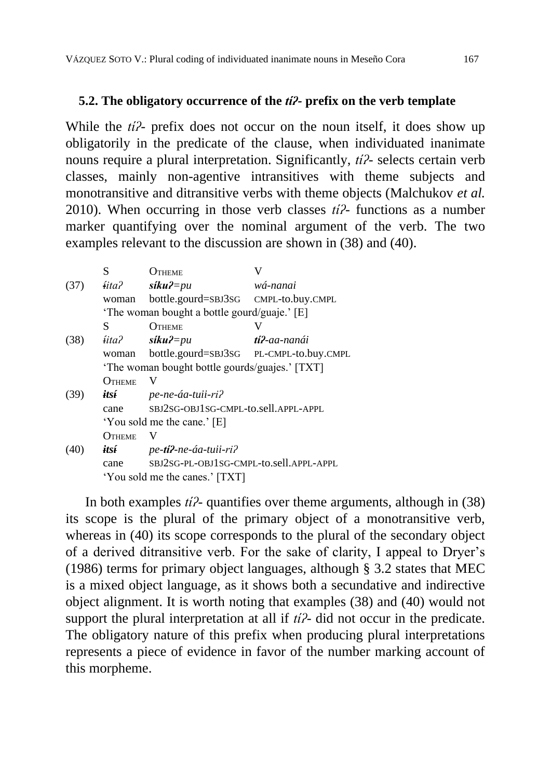#### **5.2. The obligatory occurrence of the** *tíʔ-* **prefix on the verb template**

While the *ti* $\ell$ - prefix does not occur on the noun itself, it does show up obligatorily in the predicate of the clause, when individuated inanimate nouns require a plural interpretation. Significantly, *tíʔ-* selects certain verb classes, mainly non-agentive intransitives with theme subjects and monotransitive and ditransitive verbs with theme objects (Malchukov *et al.* 2010). When occurring in those verb classes *tíʔ-* functions as a number marker quantifying over the nominal argument of the verb. The two examples relevant to the discussion are shown in (38) and (40).

|      | S                                              | ( )theme                                |                       |  |
|------|------------------------------------------------|-----------------------------------------|-----------------------|--|
| (37) | íita?                                          | $s$ <i>iku?=pu</i>                      | wá-nanai              |  |
|      | woman                                          | bottle.gourd=SBJ3SG CMPL-to.buy.CMPL    |                       |  |
|      | 'The woman bought a bottle gourd/guaje.' [E]   |                                         |                       |  |
|      | S                                              | OTHEME                                  |                       |  |
| (38) | íita?                                          | $s$ <i>iku?=pu</i>                      | t <b>í?</b> -aa-nanái |  |
|      | woman                                          | bottle.gourd=SBJ3SG PL-CMPL-to.buy.CMPL |                       |  |
|      | 'The woman bought bottle gourds/guajes.' [TXT] |                                         |                       |  |
|      | <b>OTHEME</b>                                  | V                                       |                       |  |
| (39) | itsí                                           | pe-ne-áa-tuii-ri?                       |                       |  |
|      | cane                                           | SBJ2SG-OBJ1SG-CMPL-to.sell.APPL-APPL    |                       |  |
|      | 'You sold me the cane.' [E]                    |                                         |                       |  |
|      | OTHEME                                         | V                                       |                       |  |
| (40) | itsí                                           | pe-ti?-ne-áa-tuii-ri?                   |                       |  |
|      | cane                                           | SBJ2SG-PL-OBJ1SG-CMPL-to.sell.APPL-APPL |                       |  |
|      | 'You sold me the canes.' [TXT]                 |                                         |                       |  |
|      |                                                |                                         |                       |  |

In both examples *tíʔ-* quantifies over theme arguments, although in (38) its scope is the plural of the primary object of a monotransitive verb, whereas in (40) its scope corresponds to the plural of the secondary object of a derived ditransitive verb. For the sake of clarity, I appeal to Dryer's (1986) terms for primary object languages, although § 3.2 states that MEC is a mixed object language, as it shows both a secundative and indirective object alignment. It is worth noting that examples (38) and (40) would not support the plural interpretation at all if *tíʔ-* did not occur in the predicate. The obligatory nature of this prefix when producing plural interpretations represents a piece of evidence in favor of the number marking account of this morpheme.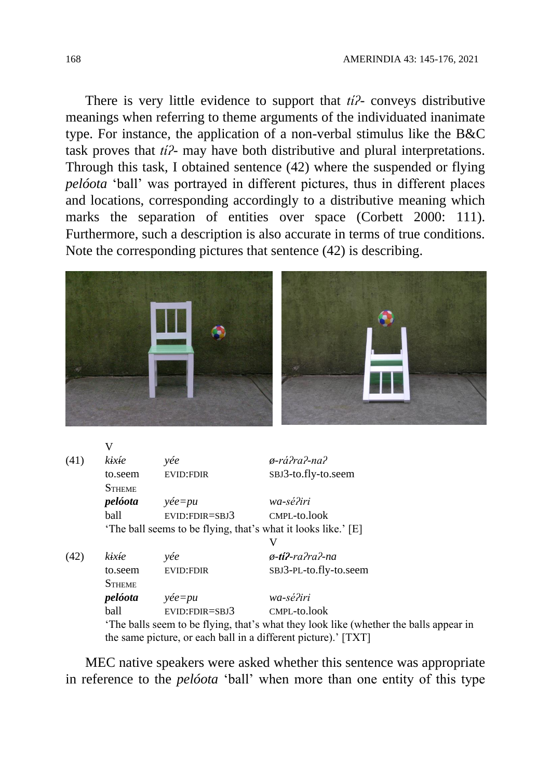There is very little evidence to support that *tíʔ-* conveys distributive meanings when referring to theme arguments of the individuated inanimate type. For instance, the application of a non-verbal stimulus like the B&C task proves that *tíʔ-* may have both distributive and plural interpretations. Through this task, I obtained sentence (42) where the suspended or flying *pelóota* 'ball' was portrayed in different pictures, thus in different places and locations, corresponding accordingly to a distributive meaning which marks the separation of entities over space (Corbett 2000: 111). Furthermore, such a description is also accurate in terms of true conditions. Note the corresponding pictures that sentence (42) is describing.



|      | V             |                                                                                      |                                                                |  |  |
|------|---------------|--------------------------------------------------------------------------------------|----------------------------------------------------------------|--|--|
| (41) | kixíe         | yée                                                                                  | ø-rá?ra?-na?                                                   |  |  |
|      | to.seem       | <b>EVID:FDIR</b>                                                                     | SBJ3-to.fly-to.seem                                            |  |  |
|      | <b>STHEME</b> |                                                                                      |                                                                |  |  |
|      | pelóota       | $y\acute{e}e=pu$                                                                     | wa-sé?iri                                                      |  |  |
|      | ball          | $EVID:FDIR = SBJ3$                                                                   | CMPL-to.look                                                   |  |  |
|      |               | 'The ball seems to be flying, that's what it looks like.' [E]                        |                                                                |  |  |
|      |               |                                                                                      |                                                                |  |  |
| (42) | kixíe         | yée                                                                                  | $\phi$ -ti?-ra?ra?-na                                          |  |  |
|      | to.seem       | <b>EVID:FDIR</b>                                                                     | SBJ3-PL-to.fly-to.seem                                         |  |  |
|      | <b>STHEME</b> |                                                                                      |                                                                |  |  |
|      | pelóota       | $y\acute{e}e=pu$                                                                     | wa-sé?iri                                                      |  |  |
|      | ball          | $EVID:FDIR = SBJ3$                                                                   | CMPL-to.look                                                   |  |  |
|      |               | The balls seem to be flying, that's what they look like (whether the balls appear in |                                                                |  |  |
|      |               |                                                                                      | the same picture, or each ball in a different picture).' [TXT] |  |  |

MEC native speakers were asked whether this sentence was appropriate in reference to the *pelóota* 'ball' when more than one entity of this type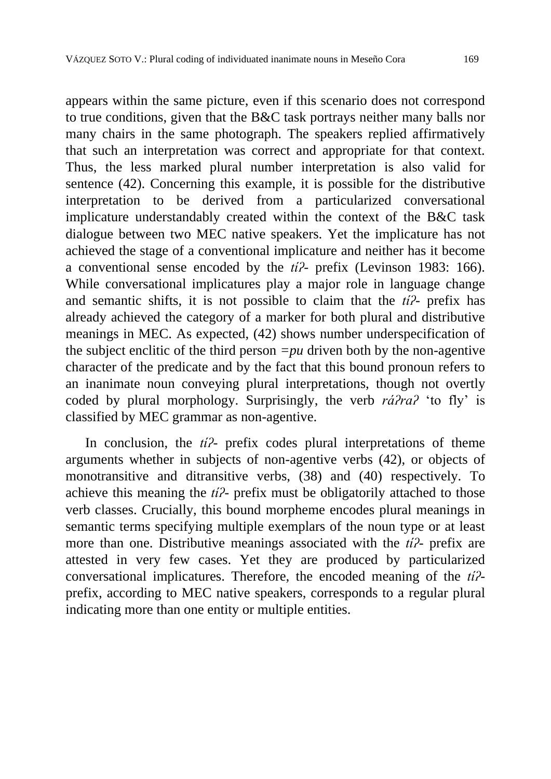appears within the same picture, even if this scenario does not correspond to true conditions, given that the B&C task portrays neither many balls nor many chairs in the same photograph. The speakers replied affirmatively that such an interpretation was correct and appropriate for that context. Thus, the less marked plural number interpretation is also valid for sentence (42). Concerning this example, it is possible for the distributive interpretation to be derived from a particularized conversational implicature understandably created within the context of the B&C task dialogue between two MEC native speakers. Yet the implicature has not achieved the stage of a conventional implicature and neither has it become a conventional sense encoded by the *tíʔ-* prefix (Levinson 1983: 166). While conversational implicatures play a major role in language change and semantic shifts, it is not possible to claim that the *tíʔ-* prefix has already achieved the category of a marker for both plural and distributive meanings in MEC. As expected, (42) shows number underspecification of the subject enclitic of the third person  $=pu$  driven both by the non-agentive character of the predicate and by the fact that this bound pronoun refers to an inanimate noun conveying plural interpretations, though not overtly coded by plural morphology. Surprisingly, the verb *ráʔraʔ* 'to fly' is classified by MEC grammar as non-agentive.

In conclusion, the *tíʔ-* prefix codes plural interpretations of theme arguments whether in subjects of non-agentive verbs (42), or objects of monotransitive and ditransitive verbs, (38) and (40) respectively. To achieve this meaning the *tíʔ-* prefix must be obligatorily attached to those verb classes. Crucially, this bound morpheme encodes plural meanings in semantic terms specifying multiple exemplars of the noun type or at least more than one. Distributive meanings associated with the *tíʔ-* prefix are attested in very few cases. Yet they are produced by particularized conversational implicatures. Therefore, the encoded meaning of the *tíʔ*prefix, according to MEC native speakers, corresponds to a regular plural indicating more than one entity or multiple entities.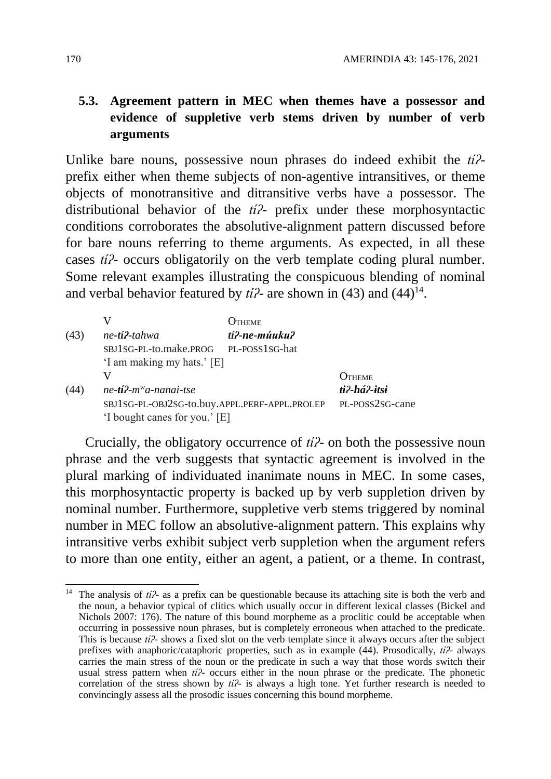### **5.3. Agreement pattern in MEC when themes have a possessor and evidence of suppletive verb stems driven by number of verb arguments**

Unlike bare nouns, possessive noun phrases do indeed exhibit the *tíʔ*prefix either when theme subjects of non-agentive intransitives, or theme objects of monotransitive and ditransitive verbs have a possessor. The distributional behavior of the *tíʔ-* prefix under these morphosyntactic conditions corroborates the absolutive-alignment pattern discussed before for bare nouns referring to theme arguments. As expected, in all these cases *tíʔ-* occurs obligatorily on the verb template coding plural number. Some relevant examples illustrating the conspicuous blending of nominal and verbal behavior featured by  $t^2$ - are shown in (43) and (44)<sup>14</sup>.

|      |                                                 | $O$ theme              |                 |  |
|------|-------------------------------------------------|------------------------|-----------------|--|
| (43) | ne-tí?-tahwa                                    | $t\hat{i}$ ?-ne-múuku? |                 |  |
|      | SBJ1SG-PL-to.make.PROG                          | PL-POSS1SG-hat         |                 |  |
|      | 'I am making my hats.' [E]                      |                        |                 |  |
|      | v                                               |                        | $O$ THEME       |  |
| (44) | $ne-t$ <b>i</b> $2$ -m <sup>w</sup> a-nanai-tse |                        | ti?-há?-itsi    |  |
|      | SBJ1SG-PL-OBJ2SG-to.buy.APPL.PERF-APPL.PROLEP   |                        | PL-POSS2SG-cane |  |
|      | 'I bought canes for you.' [E]                   |                        |                 |  |

Crucially, the obligatory occurrence of *tíʔ-* on both the possessive noun phrase and the verb suggests that syntactic agreement is involved in the plural marking of individuated inanimate nouns in MEC. In some cases, this morphosyntactic property is backed up by verb suppletion driven by nominal number. Furthermore, suppletive verb stems triggered by nominal number in MEC follow an absolutive-alignment pattern. This explains why intransitive verbs exhibit subject verb suppletion when the argument refers to more than one entity, either an agent, a patient, or a theme. In contrast,

<sup>1</sup> <sup>14</sup> The analysis of *ti* $\ell$ - as a prefix can be questionable because its attaching site is both the verb and the noun, a behavior typical of clitics which usually occur in different lexical classes (Bickel and Nichols 2007: 176). The nature of this bound morpheme as a proclitic could be acceptable when occurring in possessive noun phrases, but is completely erroneous when attached to the predicate. This is because *tíʔ-* shows a fixed slot on the verb template since it always occurs after the subject prefixes with anaphoric/cataphoric properties, such as in example (44). Prosodically, *tíʔ-* always carries the main stress of the noun or the predicate in such a way that those words switch their usual stress pattern when *ti*<sup>2</sup>- occurs either in the noun phrase or the predicate. The phonetic correlation of the stress shown by *tíʔ-* is always a high tone. Yet further research is needed to convincingly assess all the prosodic issues concerning this bound morpheme.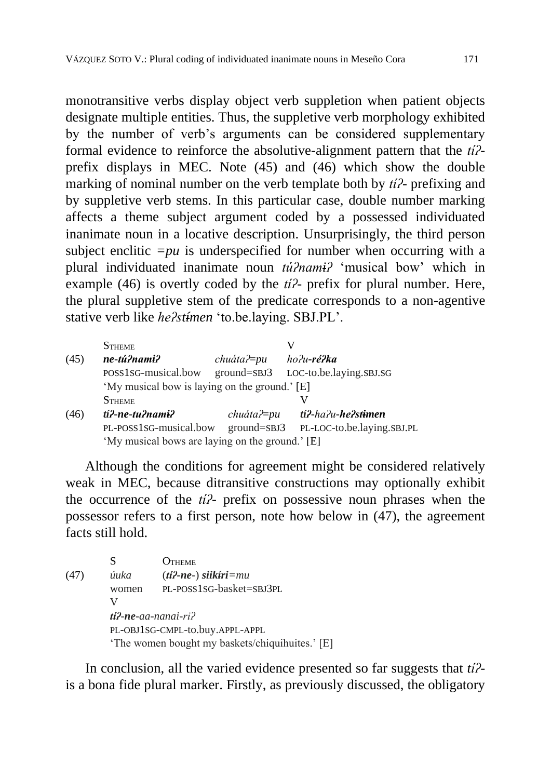monotransitive verbs display object verb suppletion when patient objects designate multiple entities. Thus, the suppletive verb morphology exhibited by the number of verb's arguments can be considered supplementary formal evidence to reinforce the absolutive-alignment pattern that the *tíʔ*prefix displays in MEC. Note (45) and (46) which show the double marking of nominal number on the verb template both by *tíʔ-* prefixing and by suppletive verb stems. In this particular case, double number marking affects a theme subject argument coded by a possessed individuated inanimate noun in a locative description. Unsurprisingly, the third person subject enclitic  $=pu$  is underspecified for number when occurring with a plural individuated inanimate noun *túʔnamiʔ* 'musical bow' which in example (46) is overtly coded by the *tíʔ-* prefix for plural number. Here, the plural suppletive stem of the predicate corresponds to a non-agentive stative verb like *heʔstímen* 'to.be.laying. SBJ.PL'.

|      | <b>STHEME</b>                                   |                  |                                     |  |
|------|-------------------------------------------------|------------------|-------------------------------------|--|
| (45) | ne-tú?nami?                                     | $chu$ áta? $=pu$ | ho?u <b>-ré?ka</b>                  |  |
|      | POSS1SG-musical.bow                             | $ground = SBJ3$  | LOC-to.be.laying.SBJ.SG             |  |
|      | 'My musical bow is laying on the ground.' [E]   |                  |                                     |  |
|      | <b>STHEME</b>                                   |                  |                                     |  |
| (46) | tí?-ne-tu?nami?                                 |                  | $chu$ áta? $=pu$ tí?-ha?u-he?stimen |  |
|      | PL-POSS1SG-musical.bow                          | $ground = SBJ3$  | PL-LOC-to.be.laying.sBJ.PL          |  |
|      | 'My musical bows are laying on the ground.' [E] |                  |                                     |  |

Although the conditions for agreement might be considered relatively weak in MEC, because ditransitive constructions may optionally exhibit the occurrence of the *tíʔ-* prefix on possessive noun phrases when the possessor refers to a first person, note how below in (47), the agreement facts still hold.

|      | S                                               | Этнеме                            |  |
|------|-------------------------------------------------|-----------------------------------|--|
| (47) | úuka                                            | $(ti$ ?-ne-) siik $\hat{t}$ ri=mu |  |
|      | women                                           | PL-POSS1SG-basket=SBJ3PL          |  |
|      |                                                 |                                   |  |
|      | $ti2$ -ne-aa-nanai-ri?                          |                                   |  |
|      | PL-OBJ1SG-CMPL-to.buy.APPL-APPL                 |                                   |  |
|      | 'The women bought my baskets/chiquihuites.' [E] |                                   |  |

In conclusion, all the varied evidence presented so far suggests that *tíʔ*is a bona fide plural marker. Firstly, as previously discussed, the obligatory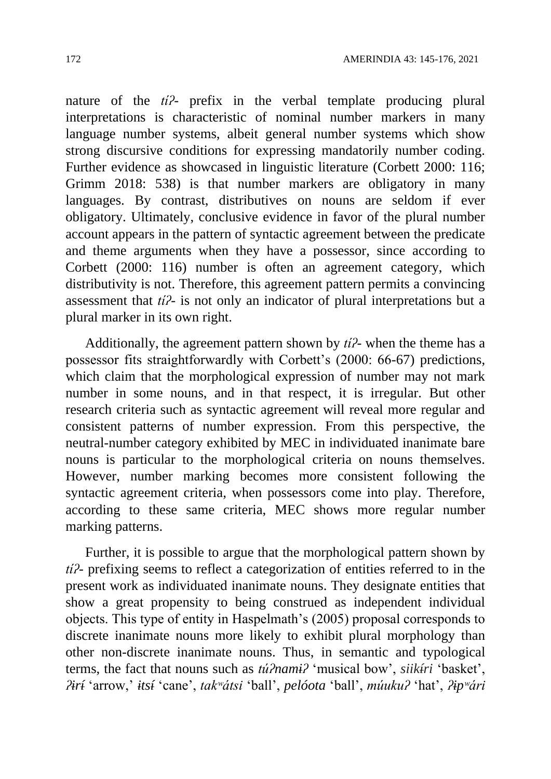nature of the *tíʔ-* prefix in the verbal template producing plural interpretations is characteristic of nominal number markers in many language number systems, albeit general number systems which show strong discursive conditions for expressing mandatorily number coding. Further evidence as showcased in linguistic literature (Corbett 2000: 116; Grimm 2018: 538) is that number markers are obligatory in many languages. By contrast, distributives on nouns are seldom if ever obligatory. Ultimately, conclusive evidence in favor of the plural number account appears in the pattern of syntactic agreement between the predicate and theme arguments when they have a possessor, since according to Corbett (2000: 116) number is often an agreement category, which distributivity is not. Therefore, this agreement pattern permits a convincing assessment that *tíʔ-* is not only an indicator of plural interpretations but a plural marker in its own right.

Additionally, the agreement pattern shown by *tíʔ-* when the theme has a possessor fits straightforwardly with Corbett's (2000: 66-67) predictions, which claim that the morphological expression of number may not mark number in some nouns, and in that respect, it is irregular. But other research criteria such as syntactic agreement will reveal more regular and consistent patterns of number expression. From this perspective, the neutral-number category exhibited by MEC in individuated inanimate bare nouns is particular to the morphological criteria on nouns themselves. However, number marking becomes more consistent following the syntactic agreement criteria, when possessors come into play. Therefore, according to these same criteria, MEC shows more regular number marking patterns.

Further, it is possible to argue that the morphological pattern shown by *tíʔ-* prefixing seems to reflect a categorization of entities referred to in the present work as individuated inanimate nouns. They designate entities that show a great propensity to being construed as independent individual objects. This type of entity in Haspelmath's (2005) proposal corresponds to discrete inanimate nouns more likely to exhibit plural morphology than other non-discrete inanimate nouns. Thus, in semantic and typological terms, the fact that nouns such as *túʔnamiʔ* 'musical bow', *siikíri* 'basket', *ʔirí* 'arrow,' *itsí* 'cane', *takʷátsi* 'ball', *pelóota* 'ball', *múukuʔ* 'hat', *ʔipʷári*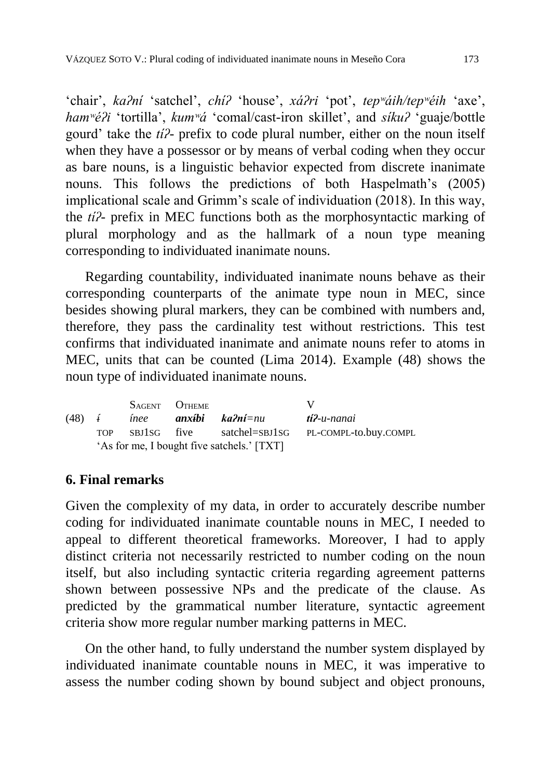'chair', *kaʔní* 'satchel', *chíʔ* 'house', *xáʔri* 'pot', *tepʷáih/tepʷéih* 'axe', *hamʷéʔi* 'tortilla', *kumʷá* 'comal/cast-iron skillet', and *síkuʔ* 'guaje/bottle gourd' take the *tíʔ-* prefix to code plural number, either on the noun itself when they have a possessor or by means of verbal coding when they occur as bare nouns, is a linguistic behavior expected from discrete inanimate nouns. This follows the predictions of both Haspelmath's (2005) implicational scale and Grimm's scale of individuation (2018). In this way, the *tíʔ-* prefix in MEC functions both as the morphosyntactic marking of plural morphology and as the hallmark of a noun type meaning corresponding to individuated inanimate nouns.

Regarding countability, individuated inanimate nouns behave as their corresponding counterparts of the animate type noun in MEC, since besides showing plural markers, they can be combined with numbers and, therefore, they pass the cardinality test without restrictions. This test confirms that individuated inanimate and animate nouns refer to atoms in MEC, units that can be counted (Lima 2014). Example (48) shows the noun type of individuated inanimate nouns.

|                                            |  | SAGENT OTHEME |                                              |                                                      |
|--------------------------------------------|--|---------------|----------------------------------------------|------------------------------------------------------|
|                                            |  |               | $(48)$ <i>i inee</i> <b>anxibi ka?ni</b> =nu | ti?-u-nanai                                          |
|                                            |  |               |                                              | TOP SBJ1SG five satchel=SBJ1SG PL-COMPL-to.buy.COMPL |
| 'As for me, I bought five satchels.' [TXT] |  |               |                                              |                                                      |

### **6. Final remarks**

Given the complexity of my data, in order to accurately describe number coding for individuated inanimate countable nouns in MEC, I needed to appeal to different theoretical frameworks. Moreover, I had to apply distinct criteria not necessarily restricted to number coding on the noun itself, but also including syntactic criteria regarding agreement patterns shown between possessive NPs and the predicate of the clause. As predicted by the grammatical number literature, syntactic agreement criteria show more regular number marking patterns in MEC.

On the other hand, to fully understand the number system displayed by individuated inanimate countable nouns in MEC, it was imperative to assess the number coding shown by bound subject and object pronouns,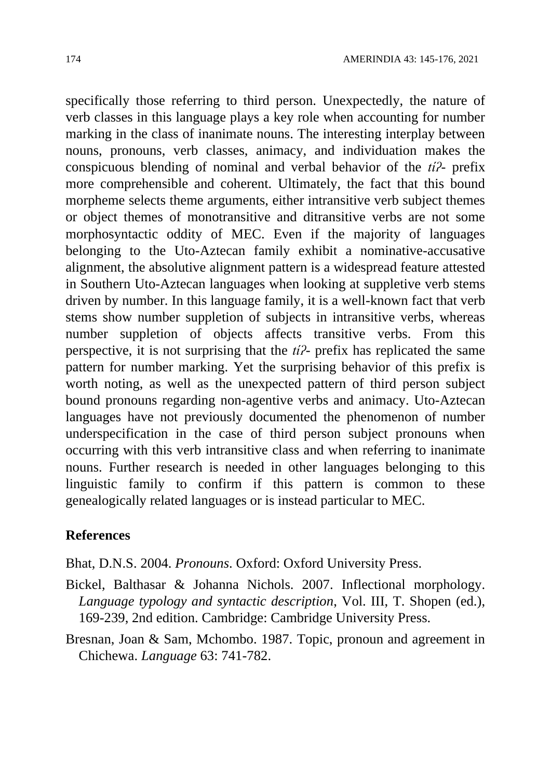specifically those referring to third person. Unexpectedly, the nature of verb classes in this language plays a key role when accounting for number marking in the class of inanimate nouns. The interesting interplay between nouns, pronouns, verb classes, animacy, and individuation makes the conspicuous blending of nominal and verbal behavior of the *tíʔ-* prefix more comprehensible and coherent. Ultimately, the fact that this bound morpheme selects theme arguments, either intransitive verb subject themes or object themes of monotransitive and ditransitive verbs are not some morphosyntactic oddity of MEC. Even if the majority of languages belonging to the Uto-Aztecan family exhibit a nominative-accusative alignment, the absolutive alignment pattern is a widespread feature attested in Southern Uto-Aztecan languages when looking at suppletive verb stems driven by number. In this language family, it is a well-known fact that verb stems show number suppletion of subjects in intransitive verbs, whereas number suppletion of objects affects transitive verbs. From this perspective, it is not surprising that the *tíʔ-* prefix has replicated the same pattern for number marking. Yet the surprising behavior of this prefix is worth noting, as well as the unexpected pattern of third person subject bound pronouns regarding non-agentive verbs and animacy. Uto-Aztecan languages have not previously documented the phenomenon of number underspecification in the case of third person subject pronouns when occurring with this verb intransitive class and when referring to inanimate nouns. Further research is needed in other languages belonging to this linguistic family to confirm if this pattern is common to these genealogically related languages or is instead particular to MEC.

#### **References**

Bhat, D.N.S. 2004. *Pronouns*. Oxford: Oxford University Press.

- Bickel, Balthasar & Johanna Nichols. 2007. Inflectional morphology. *Language typology and syntactic description*, Vol. III, T. Shopen (ed.), 169-239, 2nd edition. Cambridge: Cambridge University Press.
- Bresnan, Joan & Sam, Mchombo. 1987. Topic, pronoun and agreement in Chichewa. *Language* 63: 741-782.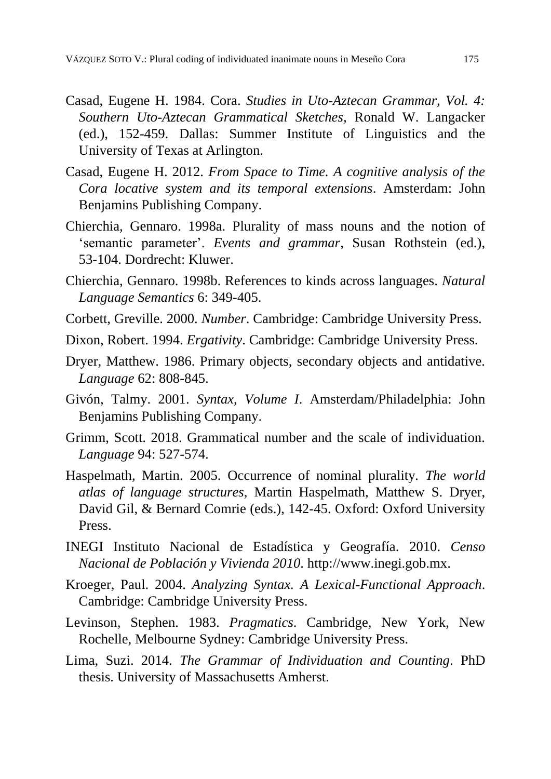- Casad, Eugene H. 1984. Cora. *Studies in Uto-Aztecan Grammar, Vol. 4: Southern Uto-Aztecan Grammatical Sketches*, Ronald W. Langacker (ed.), 152-459. Dallas: Summer Institute of Linguistics and the University of Texas at Arlington.
- Casad, Eugene H. 2012. *From Space to Time. A cognitive analysis of the Cora locative system and its temporal extensions*. Amsterdam: John Benjamins Publishing Company.
- Chierchia, Gennaro. 1998a. Plurality of mass nouns and the notion of 'semantic parameter'. *Events and grammar*, Susan Rothstein (ed.), 53-104. Dordrecht: Kluwer.
- Chierchia, Gennaro. 1998b. References to kinds across languages. *Natural Language Semantics* 6: 349-405.
- Corbett, Greville. 2000. *Number*. Cambridge: Cambridge University Press.
- Dixon, Robert. 1994. *Ergativity*. Cambridge: Cambridge University Press.
- Dryer, Matthew. 1986. Primary objects, secondary objects and antidative. *Language* 62: 808-845.
- Givón, Talmy. 2001. *Syntax, Volume I*. Amsterdam/Philadelphia: John Benjamins Publishing Company.
- Grimm, Scott. 2018. Grammatical number and the scale of individuation. *Language* 94: 527-574.
- Haspelmath, Martin. 2005. Occurrence of nominal plurality*. The world atlas of language structures*, Martin Haspelmath, Matthew S. Dryer, David Gil, & Bernard Comrie (eds.), 142-45. Oxford: Oxford University Press.
- INEGI Instituto Nacional de Estadística y Geografía. 2010. *Censo Nacional de Población y Vivienda 2010*. http://www.inegi.gob.mx.
- Kroeger, Paul. 2004. *Analyzing Syntax. A Lexical-Functional Approach*. Cambridge: Cambridge University Press.
- Levinson, Stephen. 1983. *Pragmatics*. Cambridge, New York, New Rochelle, Melbourne Sydney: Cambridge University Press.
- Lima, Suzi. 2014. *The Grammar of Individuation and Counting*. PhD thesis. University of Massachusetts Amherst.